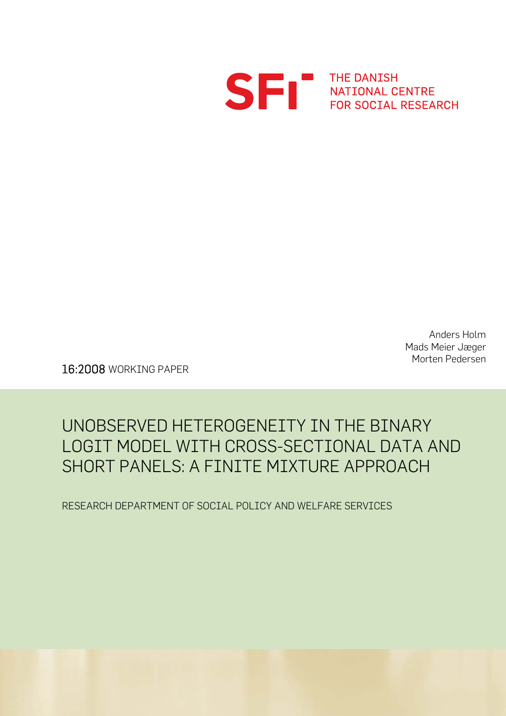

THE DANISH<br>NATIONAL CENTRE<br>FOR SOCIAL RESEAL FOR SOCIAL RESEARCH

> Anders Holm Mads Meier Jæger Morten Pedersen

16:2008 WORKING PAPER

# UNOBSERVED HETEROGENEITY IN THE BINARY LOGIT MODEL WITH CROSS-SECTIONAL DATA AND SHORT PANELS: A FINITE MIXTURE APPROACH

RESEARCH DEPARTMENT OF SOCIAL POLICY AND WELFARE SERVICES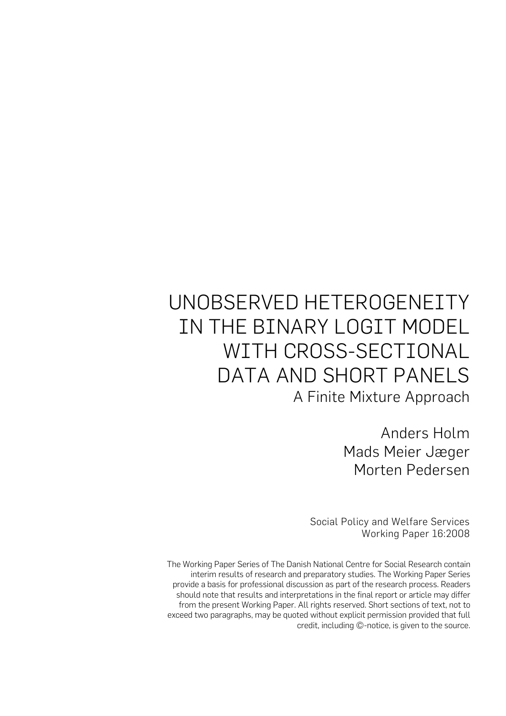# UNOBSERVED HETEROGENEITY IN THE BINARY LOGIT MODEL WITH CROSS-SECTIONAL DATA AND SHORT PANELS A Finite Mixture Approach

Anders Holm Mads Meier Jæger Morten Pedersen

Social Policy and Welfare Services Working Paper 16:2008

The Working Paper Series of The Danish National Centre for Social Research contain interim results of research and preparatory studies. The Working Paper Series provide a basis for professional discussion as part of the research process. Readers should note that results and interpretations in the final report or article may differ from the present Working Paper. All rights reserved. Short sections of text, not to exceed two paragraphs, may be quoted without explicit permission provided that full credit, including ©-notice, is given to the source.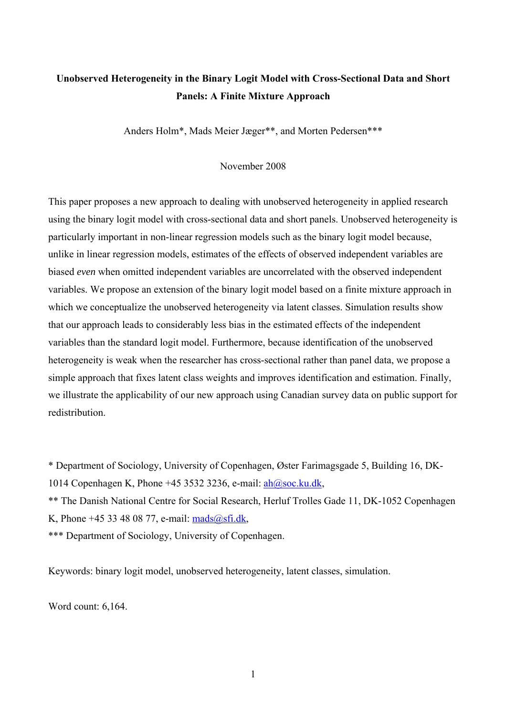# **Unobserved Heterogeneity in the Binary Logit Model with Cross-Sectional Data and Short Panels: A Finite Mixture Approach**

Anders Holm\*, Mads Meier Jæger\*\*, and Morten Pedersen\*\*\*

November 2008

This paper proposes a new approach to dealing with unobserved heterogeneity in applied research using the binary logit model with cross-sectional data and short panels. Unobserved heterogeneity is particularly important in non-linear regression models such as the binary logit model because, unlike in linear regression models, estimates of the effects of observed independent variables are biased *even* when omitted independent variables are uncorrelated with the observed independent variables. We propose an extension of the binary logit model based on a finite mixture approach in which we conceptualize the unobserved heterogeneity via latent classes. Simulation results show that our approach leads to considerably less bias in the estimated effects of the independent variables than the standard logit model. Furthermore, because identification of the unobserved heterogeneity is weak when the researcher has cross-sectional rather than panel data, we propose a simple approach that fixes latent class weights and improves identification and estimation. Finally, we illustrate the applicability of our new approach using Canadian survey data on public support for redistribution.

\* Department of Sociology, University of Copenhagen, Øster Farimagsgade 5, Building 16, DK-1014 Copenhagen K, Phone +45 3532 3236, e-mail:  $ah@soc.ku.dk$ ,

\*\* The Danish National Centre for Social Research, Herluf Trolles Gade 11, DK-1052 Copenhagen K, Phone +45 33 48 08 77, e-mail:  $mads@sfi.dk$ ,

\*\*\* Department of Sociology, University of Copenhagen.

Keywords: binary logit model, unobserved heterogeneity, latent classes, simulation.

Word count: 6,164.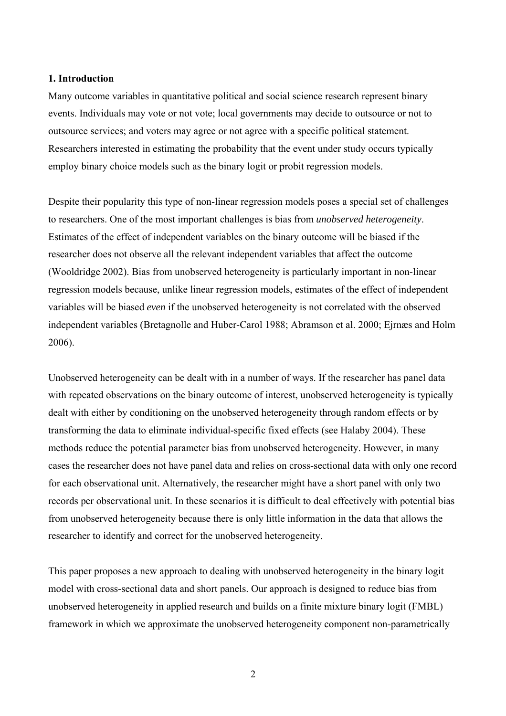#### **1. Introduction**

Many outcome variables in quantitative political and social science research represent binary events. Individuals may vote or not vote; local governments may decide to outsource or not to outsource services; and voters may agree or not agree with a specific political statement. Researchers interested in estimating the probability that the event under study occurs typically employ binary choice models such as the binary logit or probit regression models.

Despite their popularity this type of non-linear regression models poses a special set of challenges to researchers. One of the most important challenges is bias from *unobserved heterogeneity*. Estimates of the effect of independent variables on the binary outcome will be biased if the researcher does not observe all the relevant independent variables that affect the outcome (Wooldridge 2002). Bias from unobserved heterogeneity is particularly important in non-linear regression models because, unlike linear regression models, estimates of the effect of independent variables will be biased *even* if the unobserved heterogeneity is not correlated with the observed independent variables (Bretagnolle and Huber-Carol 1988; Abramson et al. 2000; Ejrnæs and Holm 2006).

Unobserved heterogeneity can be dealt with in a number of ways. If the researcher has panel data with repeated observations on the binary outcome of interest, unobserved heterogeneity is typically dealt with either by conditioning on the unobserved heterogeneity through random effects or by transforming the data to eliminate individual-specific fixed effects (see Halaby 2004). These methods reduce the potential parameter bias from unobserved heterogeneity. However, in many cases the researcher does not have panel data and relies on cross-sectional data with only one record for each observational unit. Alternatively, the researcher might have a short panel with only two records per observational unit. In these scenarios it is difficult to deal effectively with potential bias from unobserved heterogeneity because there is only little information in the data that allows the researcher to identify and correct for the unobserved heterogeneity.

This paper proposes a new approach to dealing with unobserved heterogeneity in the binary logit model with cross-sectional data and short panels. Our approach is designed to reduce bias from unobserved heterogeneity in applied research and builds on a finite mixture binary logit (FMBL) framework in which we approximate the unobserved heterogeneity component non-parametrically

2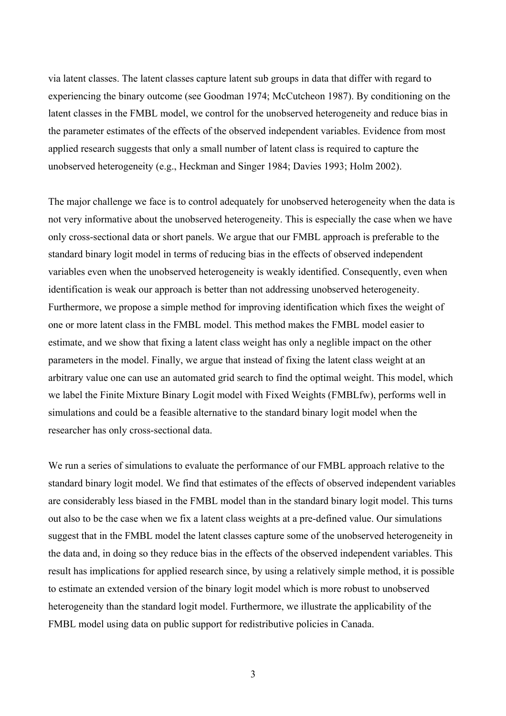via latent classes. The latent classes capture latent sub groups in data that differ with regard to experiencing the binary outcome (see Goodman 1974; McCutcheon 1987). By conditioning on the latent classes in the FMBL model, we control for the unobserved heterogeneity and reduce bias in the parameter estimates of the effects of the observed independent variables. Evidence from most applied research suggests that only a small number of latent class is required to capture the unobserved heterogeneity (e.g., Heckman and Singer 1984; Davies 1993; Holm 2002).

The major challenge we face is to control adequately for unobserved heterogeneity when the data is not very informative about the unobserved heterogeneity. This is especially the case when we have only cross-sectional data or short panels. We argue that our FMBL approach is preferable to the standard binary logit model in terms of reducing bias in the effects of observed independent variables even when the unobserved heterogeneity is weakly identified. Consequently, even when identification is weak our approach is better than not addressing unobserved heterogeneity. Furthermore, we propose a simple method for improving identification which fixes the weight of one or more latent class in the FMBL model. This method makes the FMBL model easier to estimate, and we show that fixing a latent class weight has only a neglible impact on the other parameters in the model. Finally, we argue that instead of fixing the latent class weight at an arbitrary value one can use an automated grid search to find the optimal weight. This model, which we label the Finite Mixture Binary Logit model with Fixed Weights (FMBLfw), performs well in simulations and could be a feasible alternative to the standard binary logit model when the researcher has only cross-sectional data.

We run a series of simulations to evaluate the performance of our FMBL approach relative to the standard binary logit model. We find that estimates of the effects of observed independent variables are considerably less biased in the FMBL model than in the standard binary logit model. This turns out also to be the case when we fix a latent class weights at a pre-defined value. Our simulations suggest that in the FMBL model the latent classes capture some of the unobserved heterogeneity in the data and, in doing so they reduce bias in the effects of the observed independent variables. This result has implications for applied research since, by using a relatively simple method, it is possible to estimate an extended version of the binary logit model which is more robust to unobserved heterogeneity than the standard logit model. Furthermore, we illustrate the applicability of the FMBL model using data on public support for redistributive policies in Canada.

3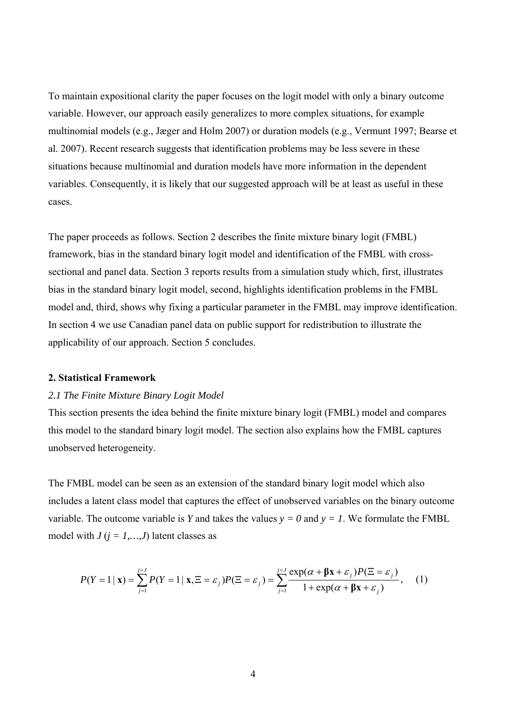To maintain expositional clarity the paper focuses on the logit model with only a binary outcome variable. However, our approach easily generalizes to more complex situations, for example multinomial models (e.g., Jæger and Holm 2007) or duration models (e.g., Vermunt 1997; Bearse et al. 2007). Recent research suggests that identification problems may be less severe in these situations because multinomial and duration models have more information in the dependent variables. Consequently, it is likely that our suggested approach will be at least as useful in these cases.

The paper proceeds as follows. Section 2 describes the finite mixture binary logit (FMBL) framework, bias in the standard binary logit model and identification of the FMBL with crosssectional and panel data. Section 3 reports results from a simulation study which, first, illustrates bias in the standard binary logit model, second, highlights identification problems in the FMBL model and, third, shows why fixing a particular parameter in the FMBL may improve identification. In section 4 we use Canadian panel data on public support for redistribution to illustrate the applicability of our approach. Section 5 concludes.

# **2. Statistical Framework**

#### *2.1 The Finite Mixture Binary Logit Model*

This section presents the idea behind the finite mixture binary logit (FMBL) model and compares this model to the standard binary logit model. The section also explains how the FMBL captures unobserved heterogeneity.

The FMBL model can be seen as an extension of the standard binary logit model which also includes a latent class model that captures the effect of unobserved variables on the binary outcome variable. The outcome variable is *Y* and takes the values  $y = 0$  and  $y = 1$ . We formulate the FMBL model with  $J$  ( $j = 1,...,J$ ) latent classes as

$$
P(Y=1 \mid \mathbf{x}) = \sum_{j=1}^{j=J} P(Y=1 \mid \mathbf{x}, \Xi = \varepsilon_j) P(\Xi = \varepsilon_j) = \sum_{j=1}^{j=J} \frac{\exp(\alpha + \beta \mathbf{x} + \varepsilon_j) P(\Xi = \varepsilon_j)}{1 + \exp(\alpha + \beta \mathbf{x} + \varepsilon_j)}, \quad (1)
$$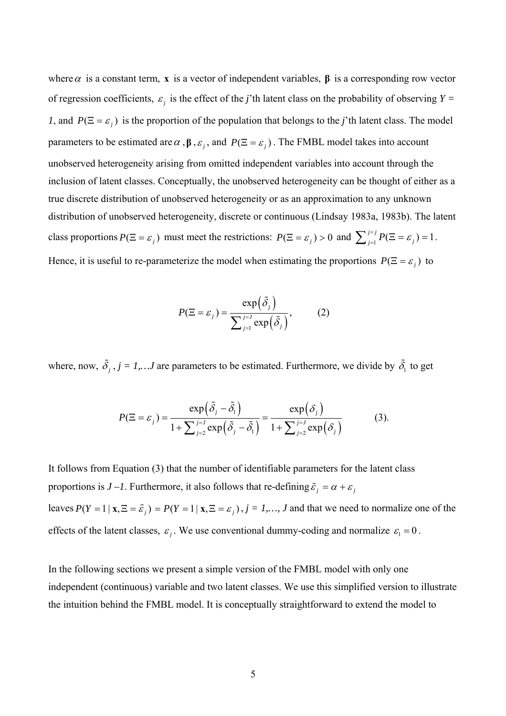where  $\alpha$  is a constant term, x is a vector of independent variables,  $\beta$  is a corresponding row vector of regression coefficients,  $\varepsilon_j$  is the effect of the *j*'th latent class on the probability of observing  $Y =$ *1*, and  $P(\Xi = \varepsilon_i)$  is the proportion of the population that belongs to the *j*'th latent class. The model parameters to be estimated are  $\alpha$ ,  $\beta$ ,  $\varepsilon$ <sub>i</sub>, and  $P(\Xi = \varepsilon)$ . The FMBL model takes into account unobserved heterogeneity arising from omitted independent variables into account through the inclusion of latent classes. Conceptually, the unobserved heterogeneity can be thought of either as a true discrete distribution of unobserved heterogeneity or as an approximation to any unknown distribution of unobserved heterogeneity, discrete or continuous (Lindsay 1983a, 1983b). The latent class proportions  $P(\Xi = \varepsilon_j)$  must meet the restrictions:  $P(\Xi = \varepsilon_j) > 0$  and  $\sum_{j=1}^{j=j} P(\Xi = \varepsilon_j) = 1$ . Hence, it is useful to re-parameterize the model when estimating the proportions  $P(\Xi = \varepsilon_j)$  to

$$
P(\Xi = \varepsilon_j) = \frac{\exp(\tilde{\delta}_j)}{\sum_{j=1}^{j=1} \exp(\tilde{\delta}_j)},
$$
 (2)

where, now,  $\tilde{\delta}_j$ ,  $j = 1,...J$  are parameters to be estimated. Furthermore, we divide by  $\tilde{\delta}_1$  to get

$$
P(\Xi = \varepsilon_j) = \frac{\exp\left(\tilde{\delta}_j - \tilde{\delta}_1\right)}{1 + \sum_{j=2}^{j=J} \exp\left(\tilde{\delta}_j - \tilde{\delta}_1\right)} = \frac{\exp\left(\delta_j\right)}{1 + \sum_{j=2}^{j=J} \exp\left(\delta_j\right)}\tag{3}.
$$

It follows from Equation (3) that the number of identifiable parameters for the latent class proportions is  $J - l$ . Furthermore, it also follows that re-defining  $\tilde{\varepsilon}_j = \alpha + \varepsilon_j$ leaves  $P(Y = 1 | \mathbf{x}, \Xi = \tilde{\varepsilon}_i) = P(Y = 1 | \mathbf{x}, \Xi = \varepsilon_i)$ ,  $j = 1,..., J$  and that we need to normalize one of the effects of the latent classes,  $\varepsilon_j$ . We use conventional dummy-coding and normalize  $\varepsilon_1 = 0$ .

In the following sections we present a simple version of the FMBL model with only one independent (continuous) variable and two latent classes. We use this simplified version to illustrate the intuition behind the FMBL model. It is conceptually straightforward to extend the model to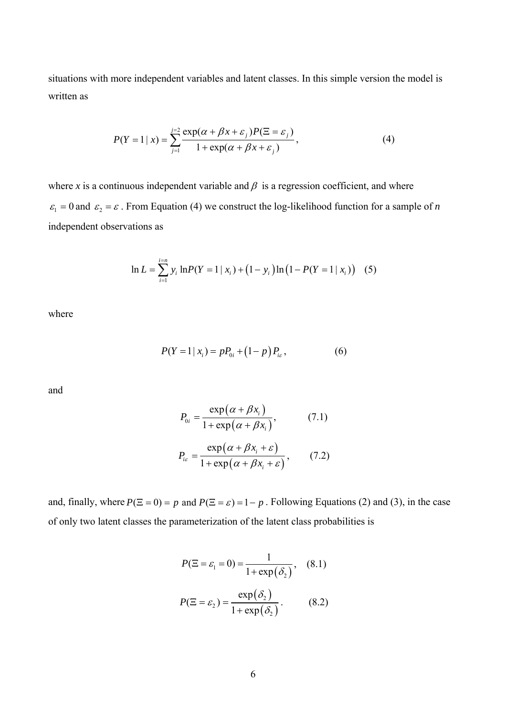situations with more independent variables and latent classes. In this simple version the model is written as

$$
P(Y=1 \mid x) = \sum_{j=1}^{j=2} \frac{\exp(\alpha + \beta x + \varepsilon_j) P(\Xi = \varepsilon_j)}{1 + \exp(\alpha + \beta x + \varepsilon_j)},
$$
(4)

where *x* is a continuous independent variable and  $\beta$  is a regression coefficient, and where  $\epsilon_1 = 0$  and  $\epsilon_2 = \epsilon$ . From Equation (4) we construct the log-likelihood function for a sample of *n* independent observations as

$$
\ln L = \sum_{i=1}^{i=n} y_i \ln P(Y = 1 \mid x_i) + (1 - y_i) \ln (1 - P(Y = 1 \mid x_i)) \quad (5)
$$

where

$$
P(Y = 1 | x_i) = pP_{0i} + (1 - p)P_{i\varepsilon},
$$
\n(6)

and

$$
P_{0i} = \frac{\exp(\alpha + \beta x_i)}{1 + \exp(\alpha + \beta x_i)},
$$
(7.1)  

$$
P_{i\epsilon} = \frac{\exp(\alpha + \beta x_i + \epsilon)}{1 + \exp(\alpha + \beta x_i + \epsilon)},
$$
(7.2)

and, finally, where  $P(\Xi = 0) = p$  and  $P(\Xi = \varepsilon) = 1 - p$ . Following Equations (2) and (3), in the case of only two latent classes the parameterization of the latent class probabilities is

$$
P(\Xi = \varepsilon_1 = 0) = \frac{1}{1 + \exp(\delta_2)}, \quad (8.1)
$$

$$
P(\Xi = \varepsilon_2) = \frac{\exp(\delta_2)}{1 + \exp(\delta_2)}.
$$
(8.2)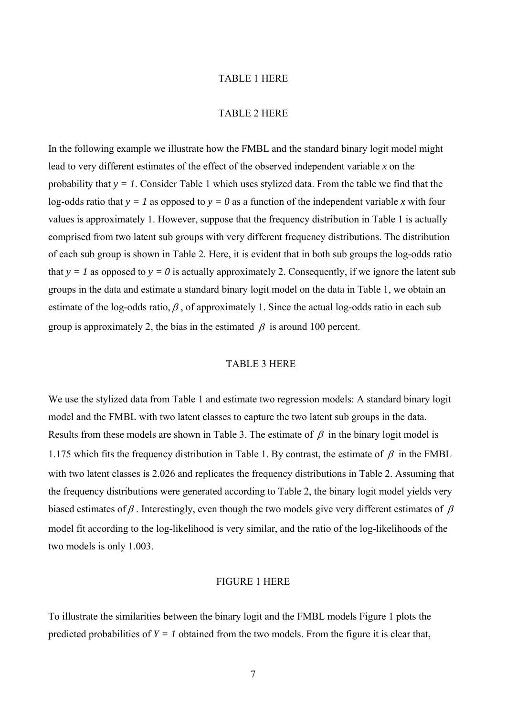#### TABLE 1 HERE

#### TABLE 2 HERE

In the following example we illustrate how the FMBL and the standard binary logit model might lead to very different estimates of the effect of the observed independent variable *x* on the probability that  $y = 1$ . Consider Table 1 which uses stylized data. From the table we find that the log-odds ratio that  $y = 1$  as opposed to  $y = 0$  as a function of the independent variable x with four values is approximately 1. However, suppose that the frequency distribution in Table 1 is actually comprised from two latent sub groups with very different frequency distributions. The distribution of each sub group is shown in Table 2. Here, it is evident that in both sub groups the log-odds ratio that  $y = 1$  as opposed to  $y = 0$  is actually approximately 2. Consequently, if we ignore the latent sub groups in the data and estimate a standard binary logit model on the data in Table 1, we obtain an estimate of the log-odds ratio,  $\beta$ , of approximately 1. Since the actual log-odds ratio in each sub group is approximately 2, the bias in the estimated  $\beta$  is around 100 percent.

# TABLE 3 HERE

We use the stylized data from Table 1 and estimate two regression models: A standard binary logit model and the FMBL with two latent classes to capture the two latent sub groups in the data. Results from these models are shown in Table 3. The estimate of  $\beta$  in the binary logit model is 1.175 which fits the frequency distribution in Table 1. By contrast, the estimate of  $\beta$  in the FMBL with two latent classes is 2.026 and replicates the frequency distributions in Table 2. Assuming that the frequency distributions were generated according to Table 2, the binary logit model yields very biased estimates of  $\beta$ . Interestingly, even though the two models give very different estimates of  $\beta$ model fit according to the log-likelihood is very similar, and the ratio of the log-likelihoods of the two models is only 1.003.

#### FIGURE 1 HERE

To illustrate the similarities between the binary logit and the FMBL models Figure 1 plots the predicted probabilities of  $Y = I$  obtained from the two models. From the figure it is clear that,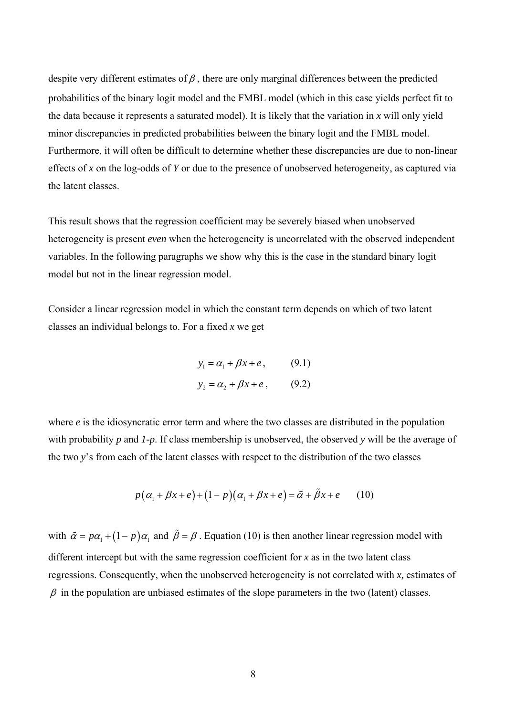despite very different estimates of  $\beta$ , there are only marginal differences between the predicted probabilities of the binary logit model and the FMBL model (which in this case yields perfect fit to the data because it represents a saturated model). It is likely that the variation in *x* will only yield minor discrepancies in predicted probabilities between the binary logit and the FMBL model. Furthermore, it will often be difficult to determine whether these discrepancies are due to non-linear effects of *x* on the log-odds of *Y* or due to the presence of unobserved heterogeneity, as captured via the latent classes.

This result shows that the regression coefficient may be severely biased when unobserved heterogeneity is present *even* when the heterogeneity is uncorrelated with the observed independent variables. In the following paragraphs we show why this is the case in the standard binary logit model but not in the linear regression model.

Consider a linear regression model in which the constant term depends on which of two latent classes an individual belongs to. For a fixed *x* we get

$$
y_1 = \alpha_1 + \beta x + e, \qquad (9.1)
$$
  

$$
y_2 = \alpha_2 + \beta x + e, \qquad (9.2)
$$

where *e* is the idiosyncratic error term and where the two classes are distributed in the population with probability *p* and *1-p*. If class membership is unobserved, the observed *y* will be the average of the two *y*'s from each of the latent classes with respect to the distribution of the two classes

$$
p(\alpha_1 + \beta x + e) + (1 - p)(\alpha_1 + \beta x + e) = \tilde{\alpha} + \tilde{\beta}x + e \qquad (10)
$$

with  $\tilde{\alpha} = p\alpha_1 + (1 - p)\alpha_1$  and  $\tilde{\beta} = \beta$ . Equation (10) is then another linear regression model with different intercept but with the same regression coefficient for *x* as in the two latent class regressions. Consequently, when the unobserved heterogeneity is not correlated with *x,* estimates of  $\beta$  in the population are unbiased estimates of the slope parameters in the two (latent) classes.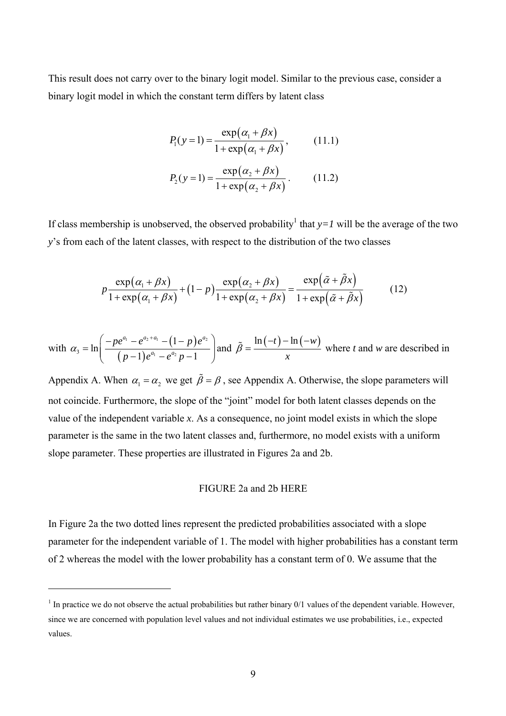This result does not carry over to the binary logit model. Similar to the previous case, consider a binary logit model in which the constant term differs by latent class

$$
P_1(y=1) = \frac{\exp(\alpha_1 + \beta x)}{1 + \exp(\alpha_1 + \beta x)},
$$
(11.1)  

$$
P_2(y=1) = \frac{\exp(\alpha_2 + \beta x)}{1 + \exp(\alpha_2 + \beta x)}.
$$
(11.2)

If class membership is unobserved, the observed probability<sup>[1](#page-10-0)</sup> that  $y=1$  will be the average of the two *y*'s from each of the latent classes, with respect to the distribution of the two classes

$$
p\frac{\exp(\alpha_1 + \beta x)}{1 + \exp(\alpha_1 + \beta x)} + (1 - p)\frac{\exp(\alpha_2 + \beta x)}{1 + \exp(\alpha_2 + \beta x)} = \frac{\exp(\tilde{\alpha} + \tilde{\beta} x)}{1 + \exp(\tilde{\alpha} + \tilde{\beta} x)}
$$
(12)

with 
$$
\alpha_3 = \ln\left(\frac{-pe^{a_1} - e^{a_2 + a_1} - (1 - p)e^{a_2}}{(p-1)e^{a_1} - e^{a_2}p - 1}\right)
$$
 and  $\tilde{\beta} = \frac{\ln(-t) - \ln(-w)}{x}$  where *t* and *w* are described in

Appendix A. When  $\alpha_1 = \alpha_2$  we get  $\tilde{\beta} = \beta$ , see Appendix A. Otherwise, the slope parameters will not coincide. Furthermore, the slope of the "joint" model for both latent classes depends on the value of the independent variable *x*. As a consequence, no joint model exists in which the slope parameter is the same in the two latent classes and, furthermore, no model exists with a uniform slope parameter. These properties are illustrated in Figures 2a and 2b.

# FIGURE 2a and 2b HERE

In Figure 2a the two dotted lines represent the predicted probabilities associated with a slope parameter for the independent variable of 1. The model with higher probabilities has a constant term of 2 whereas the model with the lower probability has a constant term of 0. We assume that the

 $\overline{a}$ 

<span id="page-10-0"></span> $<sup>1</sup>$  In practice we do not observe the actual probabilities but rather binary  $0/1$  values of the dependent variable. However,</sup> since we are concerned with population level values and not individual estimates we use probabilities, i.e., expected values.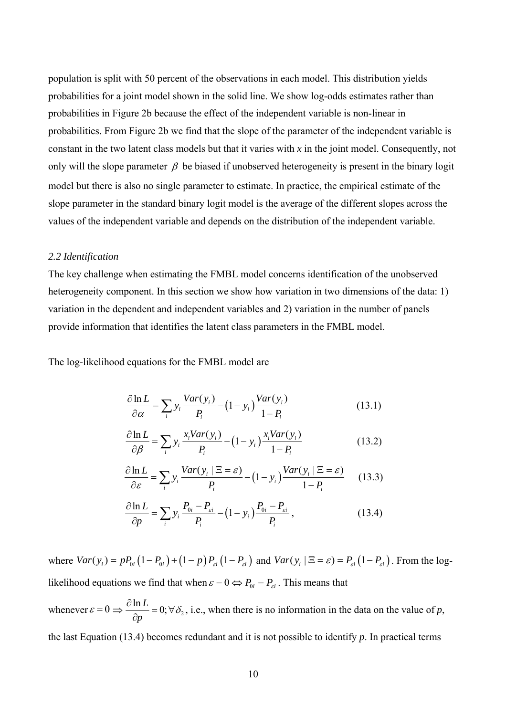population is split with 50 percent of the observations in each model. This distribution yields probabilities for a joint model shown in the solid line. We show log-odds estimates rather than probabilities in Figure 2b because the effect of the independent variable is non-linear in probabilities. From Figure 2b we find that the slope of the parameter of the independent variable is constant in the two latent class models but that it varies with *x* in the joint model. Consequently, not only will the slope parameter  $\beta$  be biased if unobserved heterogeneity is present in the binary logit model but there is also no single parameter to estimate. In practice, the empirical estimate of the slope parameter in the standard binary logit model is the average of the different slopes across the values of the independent variable and depends on the distribution of the independent variable.

# *2.2 Identification*

The key challenge when estimating the FMBL model concerns identification of the unobserved heterogeneity component. In this section we show how variation in two dimensions of the data: 1) variation in the dependent and independent variables and 2) variation in the number of panels provide information that identifies the latent class parameters in the FMBL model.

The log-likelihood equations for the FMBL model are

$$
\frac{\partial \ln L}{\partial \alpha} = \sum_{i} y_i \frac{Var(y_i)}{P_i} - (1 - y_i) \frac{Var(y_i)}{1 - P_i}
$$
(13.1)

$$
\frac{\partial \ln L}{\partial \beta} = \sum_{i} y_i \frac{x_i Var(y_i)}{P_i} - (1 - y_i) \frac{x_i Var(y_i)}{1 - P_i}
$$
(13.2)

$$
\frac{\partial \ln L}{\partial \varepsilon} = \sum_{i} y_i \frac{Var(y_i \mid \Xi = \varepsilon)}{P_i} - (1 - y_i) \frac{Var(y_i \mid \Xi = \varepsilon)}{1 - P_i}
$$
(13.3)

$$
\frac{\partial \ln L}{\partial p} = \sum_{i} y_{i} \frac{P_{0i} - P_{ei}}{P_{i}} - (1 - y_{i}) \frac{P_{0i} - P_{ei}}{P_{i}}, \qquad (13.4)
$$

where  $Var(y_i) = pP_{0i} (1 - P_{0i}) + (1 - p) P_{\epsilon i} (1 - P_{\epsilon i})$  and  $Var(y_i | \Xi = \epsilon) = P_{\epsilon i} (1 - P_{\epsilon i})$ . From the log*likelihood* equations we find that when  $\varepsilon = 0 \Leftrightarrow P_{0i} = P_{\varepsilon i}$ . This means that whenever  $\varepsilon = 0 \Rightarrow \frac{\partial \ln L}{\partial \rho} = 0$ ;  $\forall \delta_2$ 

*p*  $\frac{\partial \ln L}{\partial p} = 0$ ;  $\forall \delta_2$ , i.e., when there is no information in the data on the value of *p*, the last Equation (13.4) becomes redundant and it is not possible to identify *p*. In practical terms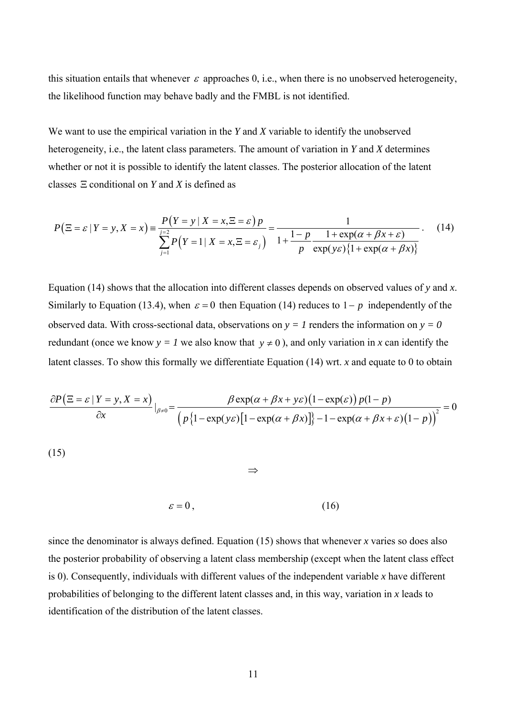this situation entails that whenever  $\varepsilon$  approaches 0, i.e., when there is no unobserved heterogeneity, the likelihood function may behave badly and the FMBL is not identified.

We want to use the empirical variation in the *Y* and *X* variable to identify the unobserved heterogeneity, i.e., the latent class parameters. The amount of variation in *Y* and *X* determines whether or not it is possible to identify the latent classes. The posterior allocation of the latent classes Ξ conditional on *Y* and *X* is defined as

$$
P(\Xi = \varepsilon | Y = y, X = x) \equiv \frac{P(Y = y | X = x, \Xi = \varepsilon) p}{\sum_{j=1}^{y=2} P(Y = 1 | X = x, \Xi = \varepsilon_j)} = \frac{1}{1 + \frac{1 - p}{p} \frac{1 + \exp(\alpha + \beta x + \varepsilon)}{\exp(y\varepsilon)\{1 + \exp(\alpha + \beta x)\}}}. \tag{14}
$$

Equation (14) shows that the allocation into different classes depends on observed values of *y* and *x*. Similarly to Equation (13.4), when  $\varepsilon = 0$  then Equation (14) reduces to  $1-p$  independently of the observed data. With cross-sectional data, observations on  $y = 1$  renders the information on  $y = 0$ redundant (once we know  $y = l$  we also know that  $y \neq 0$ ), and only variation in *x* can identify the latent classes. To show this formally we differentiate Equation (14) wrt. *x* and equate to 0 to obtain

$$
\frac{\partial P(\Xi = \varepsilon \mid Y = y, X = x)}{\partial x}\Big|_{\beta \neq 0} = \frac{\beta \exp(\alpha + \beta x + y\varepsilon)\left(1 - \exp(\varepsilon)\right)p(1-p)}{\left(p\left\{1 - \exp(y\varepsilon)\left[1 - \exp(\alpha + \beta x)\right]\right\} - 1 - \exp(\alpha + \beta x + \varepsilon)\left(1 - p\right)\right\}^2} = 0
$$

(15)

$$
\varepsilon = 0 \tag{16}
$$

⇒

since the denominator is always defined. Equation (15) shows that whenever *x* varies so does also the posterior probability of observing a latent class membership (except when the latent class effect is 0). Consequently, individuals with different values of the independent variable *x* have different probabilities of belonging to the different latent classes and, in this way, variation in *x* leads to identification of the distribution of the latent classes.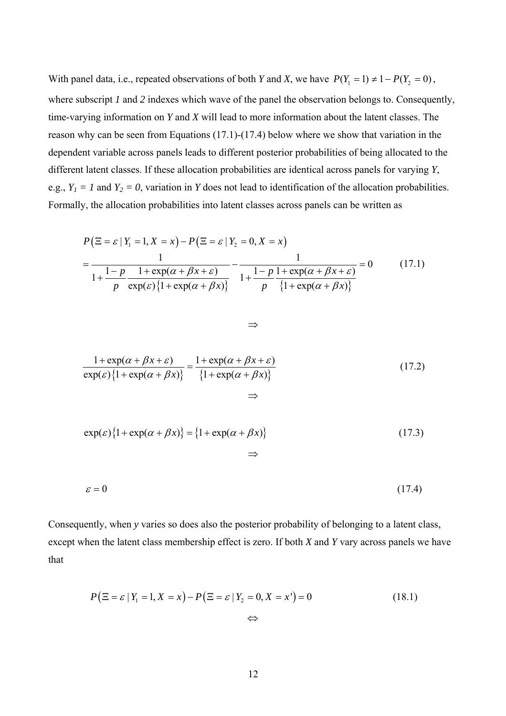With panel data, i.e., repeated observations of both *Y* and *X*, we have  $P(Y_1 = 1) \neq 1 - P(Y_2 = 0)$ , where subscript *1* and 2 indexes which wave of the panel the observation belongs to. Consequently, time-varying information on *Y* and *X* will lead to more information about the latent classes. The reason why can be seen from Equations (17.1)-(17.4) below where we show that variation in the dependent variable across panels leads to different posterior probabilities of being allocated to the different latent classes. If these allocation probabilities are identical across panels for varying *Y*, e.g.,  $Y_1 = 1$  and  $Y_2 = 0$ , variation in *Y* does not lead to identification of the allocation probabilities. Formally, the allocation probabilities into latent classes across panels can be written as

$$
P(\Xi = \varepsilon | Y_1 = 1, X = x) - P(\Xi = \varepsilon | Y_2 = 0, X = x)
$$
  
= 
$$
\frac{1}{1 + \frac{1 - p}{p} \frac{1 + \exp(\alpha + \beta x + \varepsilon)}{\exp(\varepsilon) \{1 + \exp(\alpha + \beta x)\}} - \frac{1}{1 + \frac{1 - p}{p} \frac{1 + \exp(\alpha + \beta x + \varepsilon)}{\{1 + \exp(\alpha + \beta x)\}}}} = 0
$$
(17.1)

$$
\Rightarrow
$$

$$
\frac{1 + \exp(\alpha + \beta x + \varepsilon)}{\exp(\varepsilon)\{1 + \exp(\alpha + \beta x)\}} = \frac{1 + \exp(\alpha + \beta x + \varepsilon)}{\{1 + \exp(\alpha + \beta x)\}}
$$
(17.2)

$$
\exp(\varepsilon)\{1+\exp(\alpha+\beta x)\}=\{1+\exp(\alpha+\beta x)\}\tag{17.3}
$$

⇒

$$
\varepsilon = 0 \tag{17.4}
$$

Consequently, when *y* varies so does also the posterior probability of belonging to a latent class, except when the latent class membership effect is zero. If both *X* and *Y* vary across panels we have that

$$
P(\Xi = \varepsilon | Y_1 = 1, X = x) - P(\Xi = \varepsilon | Y_2 = 0, X = x') = 0
$$
\n
$$
\Leftrightarrow \tag{18.1}
$$

12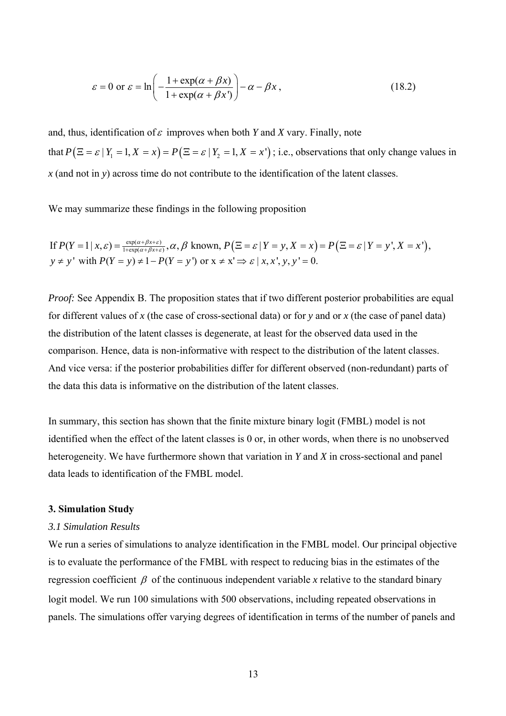$$
\varepsilon = 0 \text{ or } \varepsilon = \ln\left(-\frac{1 + \exp(\alpha + \beta x)}{1 + \exp(\alpha + \beta x')}\right) - \alpha - \beta x, \qquad (18.2)
$$

and, thus, identification of  $\varepsilon$  improves when both *Y* and *X* vary. Finally, note that  $P(\Xi = \varepsilon | Y_1 = 1, X = x) = P(\Xi = \varepsilon | Y_2 = 1, X = x')$ ; i.e., observations that only change values in *x* (and not in *y*) across time do not contribute to the identification of the latent classes.

We may summarize these findings in the following proposition

If 
$$
P(Y = 1 | x, \varepsilon) = \frac{\exp(\alpha + \beta x + \varepsilon)}{1 + \exp(\alpha + \beta x + \varepsilon)}, \alpha, \beta
$$
 known,  $P(\Xi = \varepsilon | Y = y, X = x) = P(\Xi = \varepsilon | Y = y', X = x'),$   
\n $y \neq y'$  with  $P(Y = y) \neq 1 - P(Y = y')$  or  $x \neq x' \Rightarrow \varepsilon | x, x', y, y' = 0$ .

*Proof:* See Appendix B. The proposition states that if two different posterior probabilities are equal for different values of *x* (the case of cross-sectional data) or for *y* and or *x* (the case of panel data) the distribution of the latent classes is degenerate, at least for the observed data used in the comparison. Hence, data is non-informative with respect to the distribution of the latent classes. And vice versa: if the posterior probabilities differ for different observed (non-redundant) parts of the data this data is informative on the distribution of the latent classes.

In summary, this section has shown that the finite mixture binary logit (FMBL) model is not identified when the effect of the latent classes is 0 or, in other words, when there is no unobserved heterogeneity. We have furthermore shown that variation in *Y* and *X* in cross-sectional and panel data leads to identification of the FMBL model.

### **3. Simulation Study**

#### *3.1 Simulation Results*

We run a series of simulations to analyze identification in the FMBL model. Our principal objective is to evaluate the performance of the FMBL with respect to reducing bias in the estimates of the regression coefficient  $\beta$  of the continuous independent variable x relative to the standard binary logit model. We run 100 simulations with 500 observations, including repeated observations in panels. The simulations offer varying degrees of identification in terms of the number of panels and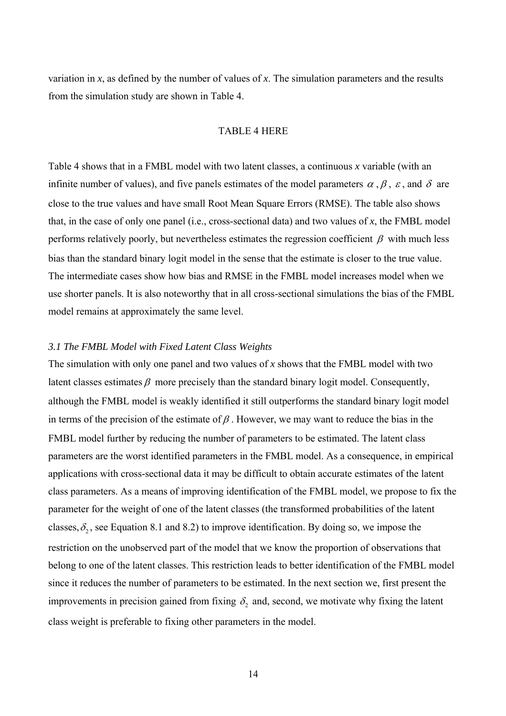variation in *x*, as defined by the number of values of *x*. The simulation parameters and the results from the simulation study are shown in Table 4.

#### TABLE 4 HERE

Table 4 shows that in a FMBL model with two latent classes, a continuous *x* variable (with an infinite number of values), and five panels estimates of the model parameters  $\alpha$ ,  $\beta$ ,  $\varepsilon$ , and  $\delta$  are close to the true values and have small Root Mean Square Errors (RMSE). The table also shows that, in the case of only one panel (i.e., cross-sectional data) and two values of *x*, the FMBL model performs relatively poorly, but nevertheless estimates the regression coefficient  $\beta$  with much less bias than the standard binary logit model in the sense that the estimate is closer to the true value. The intermediate cases show how bias and RMSE in the FMBL model increases model when we use shorter panels. It is also noteworthy that in all cross-sectional simulations the bias of the FMBL model remains at approximately the same level.

#### *3.1 The FMBL Model with Fixed Latent Class Weights*

The simulation with only one panel and two values of *x* shows that the FMBL model with two latent classes estimates  $\beta$  more precisely than the standard binary logit model. Consequently, although the FMBL model is weakly identified it still outperforms the standard binary logit model in terms of the precision of the estimate of  $\beta$ . However, we may want to reduce the bias in the FMBL model further by reducing the number of parameters to be estimated. The latent class parameters are the worst identified parameters in the FMBL model. As a consequence, in empirical applications with cross-sectional data it may be difficult to obtain accurate estimates of the latent class parameters. As a means of improving identification of the FMBL model, we propose to fix the parameter for the weight of one of the latent classes (the transformed probabilities of the latent classes,  $\delta_2$ , see Equation 8.1 and 8.2) to improve identification. By doing so, we impose the restriction on the unobserved part of the model that we know the proportion of observations that belong to one of the latent classes. This restriction leads to better identification of the FMBL model since it reduces the number of parameters to be estimated. In the next section we, first present the improvements in precision gained from fixing  $\delta_2$  and, second, we motivate why fixing the latent class weight is preferable to fixing other parameters in the model.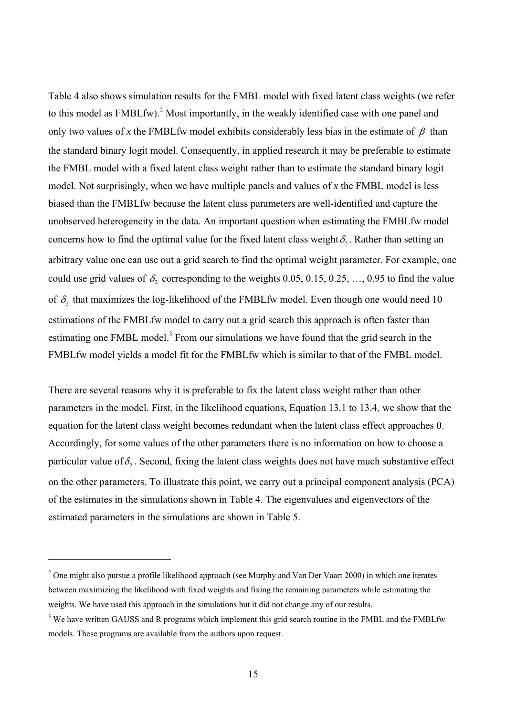Table 4 also shows simulation results for the FMBL model with fixed latent class weights (we refer to this model as  $FMBLfw$ ).<sup>[2](#page-16-0)</sup> Most importantly, in the weakly identified case with one panel and only two values of x the FMBLfw model exhibits considerably less bias in the estimate of  $\beta$  than the standard binary logit model. Consequently, in applied research it may be preferable to estimate the FMBL model with a fixed latent class weight rather than to estimate the standard binary logit model. Not surprisingly, when we have multiple panels and values of *x* the FMBL model is less biased than the FMBLfw because the latent class parameters are well-identified and capture the unobserved heterogeneity in the data. An important question when estimating the FMBLfw model concerns how to find the optimal value for the fixed latent class weight  $\delta$ . Rather than setting an arbitrary value one can use out a grid search to find the optimal weight parameter. For example, one could use grid values of  $\delta_2$  corresponding to the weights 0.05, 0.15, 0.25, ..., 0.95 to find the value of  $\delta_2$  that maximizes the log-likelihood of the FMBLfw model. Even though one would need 10 estimations of the FMBLfw model to carry out a grid search this approach is often faster than estimating one FMBL model.<sup>[3](#page-16-1)</sup> From our simulations we have found that the grid search in the FMBLfw model yields a model fit for the FMBLfw which is similar to that of the FMBL model.

There are several reasons why it is preferable to fix the latent class weight rather than other parameters in the model. First, in the likelihood equations, Equation 13.1 to 13.4, we show that the equation for the latent class weight becomes redundant when the latent class effect approaches 0. Accordingly, for some values of the other parameters there is no information on how to choose a particular value of  $\delta_2$ . Second, fixing the latent class weights does not have much substantive effect on the other parameters. To illustrate this point, we carry out a principal component analysis (PCA) of the estimates in the simulations shown in Table 4. The eigenvalues and eigenvectors of the estimated parameters in the simulations are shown in Table 5.

 $\overline{a}$ 

<span id="page-16-0"></span><sup>&</sup>lt;sup>2</sup> One might also pursue a profile likelihood approach (see Murphy and Van Der Vaart 2000) in which one iterates between maximizing the likelihood with fixed weights and fixing the remaining parameters while estimating the weights. We have used this approach in the simulations but it did not change any of our results.

<span id="page-16-1"></span> $3$  We have written GAUSS and R programs which implement this grid search routine in the FMBL and the FMBLfw models. These programs are available from the authors upon request.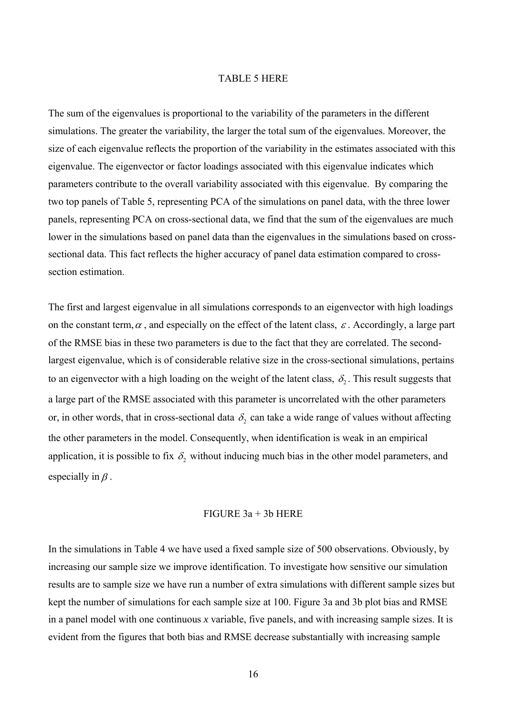#### TABLE 5 HERE

The sum of the eigenvalues is proportional to the variability of the parameters in the different simulations. The greater the variability, the larger the total sum of the eigenvalues. Moreover, the size of each eigenvalue reflects the proportion of the variability in the estimates associated with this eigenvalue. The eigenvector or factor loadings associated with this eigenvalue indicates which parameters contribute to the overall variability associated with this eigenvalue. By comparing the two top panels of Table 5, representing PCA of the simulations on panel data, with the three lower panels, representing PCA on cross-sectional data, we find that the sum of the eigenvalues are much lower in the simulations based on panel data than the eigenvalues in the simulations based on crosssectional data. This fact reflects the higher accuracy of panel data estimation compared to crosssection estimation.

The first and largest eigenvalue in all simulations corresponds to an eigenvector with high loadings on the constant term,  $\alpha$ , and especially on the effect of the latent class,  $\varepsilon$ . Accordingly, a large part of the RMSE bias in these two parameters is due to the fact that they are correlated. The secondlargest eigenvalue, which is of considerable relative size in the cross-sectional simulations, pertains to an eigenvector with a high loading on the weight of the latent class,  $\delta$ . This result suggests that a large part of the RMSE associated with this parameter is uncorrelated with the other parameters or, in other words, that in cross-sectional data  $\delta_2$  can take a wide range of values without affecting the other parameters in the model. Consequently, when identification is weak in an empirical application, it is possible to fix  $\delta_2$  without inducing much bias in the other model parameters, and especially in  $\beta$ .

#### FIGURE  $3a + 3b$  HERE

In the simulations in Table 4 we have used a fixed sample size of 500 observations. Obviously, by increasing our sample size we improve identification. To investigate how sensitive our simulation results are to sample size we have run a number of extra simulations with different sample sizes but kept the number of simulations for each sample size at 100. Figure 3a and 3b plot bias and RMSE in a panel model with one continuous *x* variable, five panels, and with increasing sample sizes. It is evident from the figures that both bias and RMSE decrease substantially with increasing sample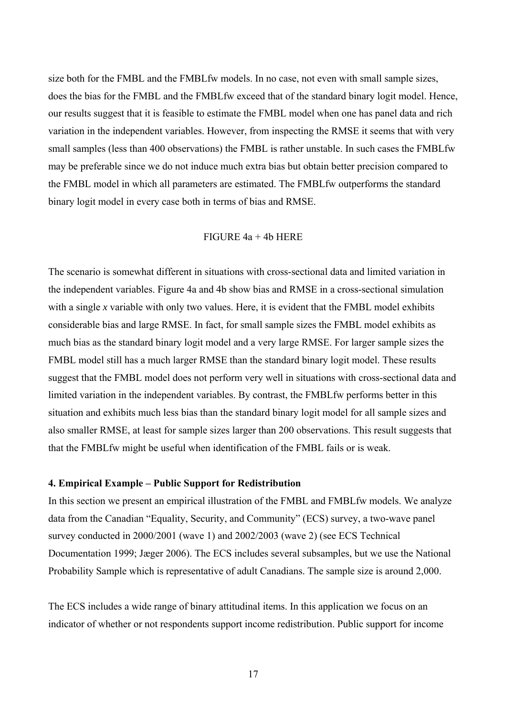size both for the FMBL and the FMBLfw models. In no case, not even with small sample sizes, does the bias for the FMBL and the FMBLfw exceed that of the standard binary logit model. Hence, our results suggest that it is feasible to estimate the FMBL model when one has panel data and rich variation in the independent variables. However, from inspecting the RMSE it seems that with very small samples (less than 400 observations) the FMBL is rather unstable. In such cases the FMBLfw may be preferable since we do not induce much extra bias but obtain better precision compared to the FMBL model in which all parameters are estimated. The FMBLfw outperforms the standard binary logit model in every case both in terms of bias and RMSE.

# FIGURE 4a + 4b HERE

The scenario is somewhat different in situations with cross-sectional data and limited variation in the independent variables. Figure 4a and 4b show bias and RMSE in a cross-sectional simulation with a single *x* variable with only two values. Here, it is evident that the FMBL model exhibits considerable bias and large RMSE. In fact, for small sample sizes the FMBL model exhibits as much bias as the standard binary logit model and a very large RMSE. For larger sample sizes the FMBL model still has a much larger RMSE than the standard binary logit model. These results suggest that the FMBL model does not perform very well in situations with cross-sectional data and limited variation in the independent variables. By contrast, the FMBLfw performs better in this situation and exhibits much less bias than the standard binary logit model for all sample sizes and also smaller RMSE, at least for sample sizes larger than 200 observations. This result suggests that that the FMBLfw might be useful when identification of the FMBL fails or is weak.

#### **4. Empirical Example – Public Support for Redistribution**

In this section we present an empirical illustration of the FMBL and FMBLfw models. We analyze data from the Canadian "Equality, Security, and Community" (ECS) survey, a two-wave panel survey conducted in 2000/2001 (wave 1) and 2002/2003 (wave 2) (see ECS Technical Documentation 1999; Jæger 2006). The ECS includes several subsamples, but we use the National Probability Sample which is representative of adult Canadians. The sample size is around 2,000.

The ECS includes a wide range of binary attitudinal items. In this application we focus on an indicator of whether or not respondents support income redistribution. Public support for income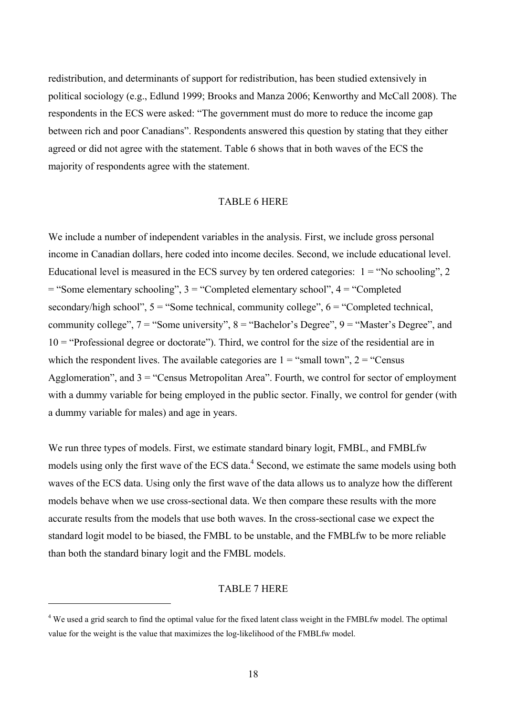redistribution, and determinants of support for redistribution, has been studied extensively in political sociology (e.g., Edlund 1999; Brooks and Manza 2006; Kenworthy and McCall 2008). The respondents in the ECS were asked: "The government must do more to reduce the income gap between rich and poor Canadians". Respondents answered this question by stating that they either agreed or did not agree with the statement. Table 6 shows that in both waves of the ECS the majority of respondents agree with the statement.

# TABLE 6 HERE

We include a number of independent variables in the analysis. First, we include gross personal income in Canadian dollars, here coded into income deciles. Second, we include educational level. Educational level is measured in the ECS survey by ten ordered categories:  $1 = \text{``No schooling''}, 2$ = "Some elementary schooling", 3 = "Completed elementary school", 4 = "Completed secondary/high school",  $5 =$  "Some technical, community college",  $6 =$  "Completed technical, community college",  $7 =$  "Some university",  $8 =$  "Bachelor's Degree",  $9 =$  "Master's Degree", and 10 = "Professional degree or doctorate"). Third, we control for the size of the residential are in which the respondent lives. The available categories are  $1 =$  "small town",  $2 =$  "Census" Agglomeration", and  $3 =$  "Census Metropolitan Area". Fourth, we control for sector of employment with a dummy variable for being employed in the public sector. Finally, we control for gender (with a dummy variable for males) and age in years.

We run three types of models. First, we estimate standard binary logit, FMBL, and FMBLfw models using only the first wave of the ECS data.<sup>[4](#page-19-0)</sup> Second, we estimate the same models using both waves of the ECS data. Using only the first wave of the data allows us to analyze how the different models behave when we use cross-sectional data. We then compare these results with the more accurate results from the models that use both waves. In the cross-sectional case we expect the standard logit model to be biased, the FMBL to be unstable, and the FMBLfw to be more reliable than both the standard binary logit and the FMBL models.

#### TABLE 7 HERE

 $\overline{a}$ 

<span id="page-19-0"></span><sup>&</sup>lt;sup>4</sup> We used a grid search to find the optimal value for the fixed latent class weight in the FMBLfw model. The optimal value for the weight is the value that maximizes the log-likelihood of the FMBLfw model.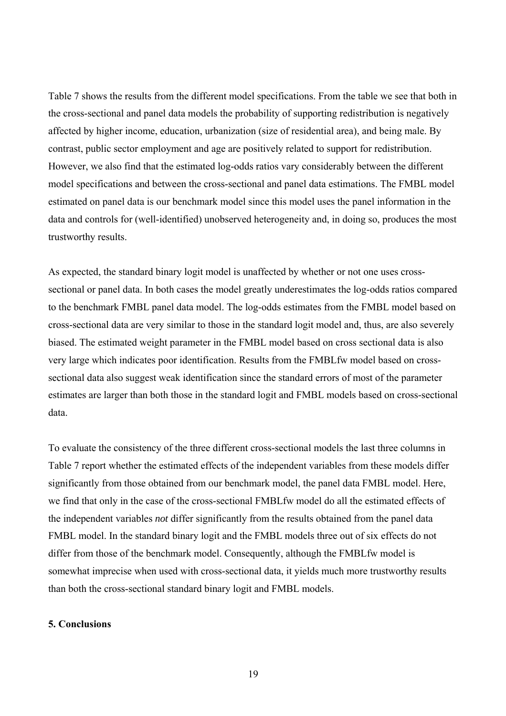Table 7 shows the results from the different model specifications. From the table we see that both in the cross-sectional and panel data models the probability of supporting redistribution is negatively affected by higher income, education, urbanization (size of residential area), and being male. By contrast, public sector employment and age are positively related to support for redistribution. However, we also find that the estimated log-odds ratios vary considerably between the different model specifications and between the cross-sectional and panel data estimations. The FMBL model estimated on panel data is our benchmark model since this model uses the panel information in the data and controls for (well-identified) unobserved heterogeneity and, in doing so, produces the most trustworthy results.

As expected, the standard binary logit model is unaffected by whether or not one uses crosssectional or panel data. In both cases the model greatly underestimates the log-odds ratios compared to the benchmark FMBL panel data model. The log-odds estimates from the FMBL model based on cross-sectional data are very similar to those in the standard logit model and, thus, are also severely biased. The estimated weight parameter in the FMBL model based on cross sectional data is also very large which indicates poor identification. Results from the FMBLfw model based on crosssectional data also suggest weak identification since the standard errors of most of the parameter estimates are larger than both those in the standard logit and FMBL models based on cross-sectional data.

To evaluate the consistency of the three different cross-sectional models the last three columns in Table 7 report whether the estimated effects of the independent variables from these models differ significantly from those obtained from our benchmark model, the panel data FMBL model. Here, we find that only in the case of the cross-sectional FMBLfw model do all the estimated effects of the independent variables *not* differ significantly from the results obtained from the panel data FMBL model. In the standard binary logit and the FMBL models three out of six effects do not differ from those of the benchmark model. Consequently, although the FMBLfw model is somewhat imprecise when used with cross-sectional data, it yields much more trustworthy results than both the cross-sectional standard binary logit and FMBL models.

# **5. Conclusions**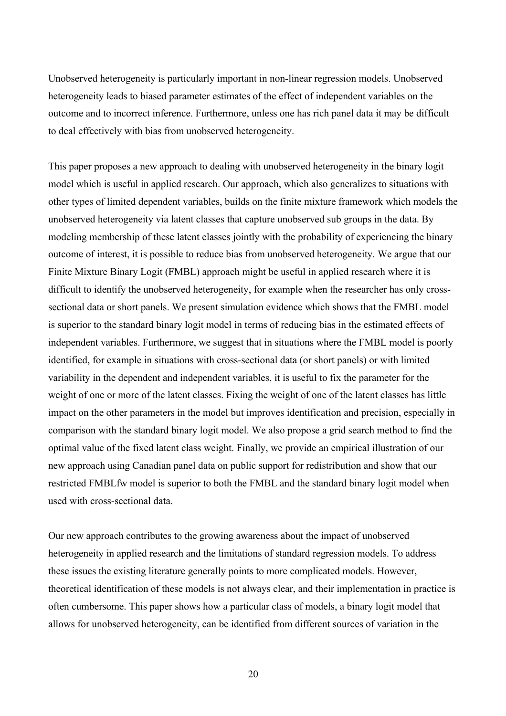Unobserved heterogeneity is particularly important in non-linear regression models. Unobserved heterogeneity leads to biased parameter estimates of the effect of independent variables on the outcome and to incorrect inference. Furthermore, unless one has rich panel data it may be difficult to deal effectively with bias from unobserved heterogeneity.

This paper proposes a new approach to dealing with unobserved heterogeneity in the binary logit model which is useful in applied research. Our approach, which also generalizes to situations with other types of limited dependent variables, builds on the finite mixture framework which models the unobserved heterogeneity via latent classes that capture unobserved sub groups in the data. By modeling membership of these latent classes jointly with the probability of experiencing the binary outcome of interest, it is possible to reduce bias from unobserved heterogeneity. We argue that our Finite Mixture Binary Logit (FMBL) approach might be useful in applied research where it is difficult to identify the unobserved heterogeneity, for example when the researcher has only crosssectional data or short panels. We present simulation evidence which shows that the FMBL model is superior to the standard binary logit model in terms of reducing bias in the estimated effects of independent variables. Furthermore, we suggest that in situations where the FMBL model is poorly identified, for example in situations with cross-sectional data (or short panels) or with limited variability in the dependent and independent variables, it is useful to fix the parameter for the weight of one or more of the latent classes. Fixing the weight of one of the latent classes has little impact on the other parameters in the model but improves identification and precision, especially in comparison with the standard binary logit model. We also propose a grid search method to find the optimal value of the fixed latent class weight. Finally, we provide an empirical illustration of our new approach using Canadian panel data on public support for redistribution and show that our restricted FMBLfw model is superior to both the FMBL and the standard binary logit model when used with cross-sectional data.

Our new approach contributes to the growing awareness about the impact of unobserved heterogeneity in applied research and the limitations of standard regression models. To address these issues the existing literature generally points to more complicated models. However, theoretical identification of these models is not always clear, and their implementation in practice is often cumbersome. This paper shows how a particular class of models, a binary logit model that allows for unobserved heterogeneity, can be identified from different sources of variation in the

20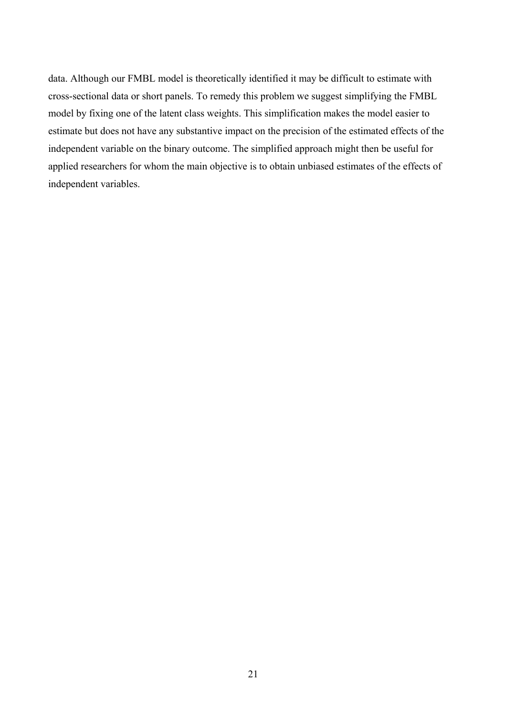data. Although our FMBL model is theoretically identified it may be difficult to estimate with cross-sectional data or short panels. To remedy this problem we suggest simplifying the FMBL model by fixing one of the latent class weights. This simplification makes the model easier to estimate but does not have any substantive impact on the precision of the estimated effects of the independent variable on the binary outcome. The simplified approach might then be useful for applied researchers for whom the main objective is to obtain unbiased estimates of the effects of independent variables.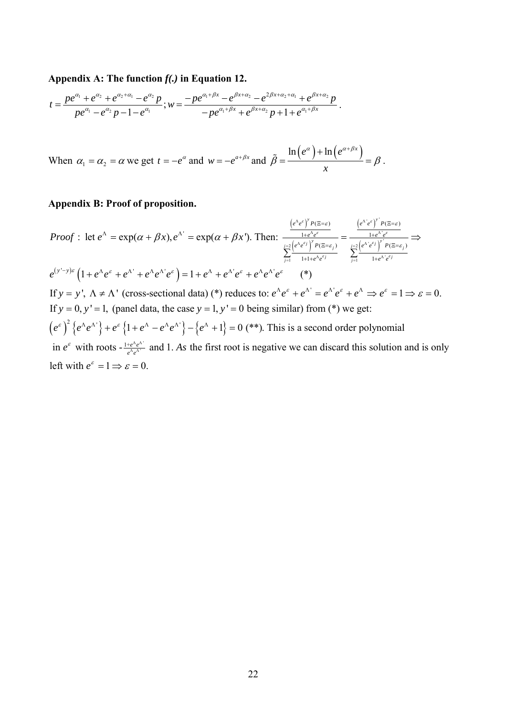#### **Appendix A: The function** *f(.)* **in Equation 12.**

$$
t=\frac{pe^{\alpha_1}+e^{\alpha_2}+e^{\alpha_2+\alpha_1}-e^{\alpha_2}p}{pe^{\alpha_1}-e^{\alpha_2}p-1-e^{\alpha_1}}, w=\frac{-pe^{\alpha_1+\beta x}-e^{\beta x+\alpha_2}-e^{2\beta x+\alpha_2+\alpha_1}+e^{\beta x+\alpha_2}p}{-pe^{\alpha_1+\beta x}+e^{\beta x+\alpha_2}p+1+e^{\alpha_1+\beta x}}.
$$

When  $\alpha_1 = \alpha_2 = \alpha$  we get  $t = -e^{\alpha}$  and  $w = -e^{a+\beta x}$  and  $\ln (e^{\alpha}) + \ln (e^{\alpha + \beta x})$ *x*  $\alpha$  |  $\ln \int e^{(\alpha+\beta)}$  $\beta = \frac{1}{\sqrt{1-\frac{1}{2}}} = \beta$  $\tilde{g} = \frac{\ln(e^{\alpha}) + \ln(e^{\alpha+\beta x})}{\beta} = \beta$ .

### **Appendix B: Proof of proposition.**

 $(e^{\Lambda}e^{\epsilon})$  $\left( e^{\alpha}e^{\beta} \right)$  $(e^{\Lambda} e^{\epsilon})$  $\left\lvert e^{\cdots}\, e^{\cdots}\right\rvert$  $e^{(y'-y)\varepsilon} (1 + e^{\Lambda} e^{\varepsilon} + e^{\Lambda'} + e^{\Lambda} e^{\Lambda'} e^{\varepsilon}) = 1 + e^{\Lambda} + e^{\Lambda'} e^{\varepsilon} + e^{\Lambda} e^{\Lambda'} e^{\varepsilon}$  (\*)  $\frac{1+e^{\Lambda}e^{\varepsilon}}{2\left(e^{\Lambda}e^{\varepsilon j}\right)^{\gamma}P(\Xi=\varepsilon_{\beta})}=\frac{1+e^{\Lambda}e^{\varepsilon}}{\int_{0}^{1-2}\left(e^{\Lambda}e^{\varepsilon j}\right)^{\gamma}}$ 1  $1+1+e^{\Lambda}e^{\epsilon j}$   $\qquad \qquad \frac{1}{j-1}$   $1+e^{\Lambda}$  $\frac{e^{A}e^{\epsilon}}{B}$  =  $\exp(\alpha + Bx')$  Then:  $\frac{e^{A}e^{\epsilon}}{1 + e^{A}e^{\epsilon}}$  =  $\frac{e^{A'}e^{\epsilon}}{1 + e^{A'}e^{\epsilon}}$  $(\Xi = \varepsilon_i)$   $j=2\left[ e^{\Lambda} e^{i\theta} \right]$   $P(\Xi = \varepsilon_i)$  $1+1+e^{\Lambda}e^{i\theta}$   $\qquad \qquad \overline{1} = 1$  1 : let  $e^{\Lambda} = \exp(\alpha + \beta x), e^{\Lambda'} = \exp(\alpha + \beta x')$ . Then: If  $y = y'$ ,  $\Lambda \neq \Lambda'$  (cross-sectional data) (\*) reduces to:  $e^{\Lambda}e^{\varepsilon} + e^{\Lambda'} = e^{\Lambda'}e^{\varepsilon} + e^{\Lambda} \Rightarrow e^{\varepsilon} = 1 \Rightarrow \varepsilon = 0$ .  $\frac{1}{2} \left( e^{\Lambda} e^{\varepsilon j} \right)^y P(\Xi = \varepsilon_j)$   $\frac{1}{2} \left( e^{\Lambda^{\prime}} e^{\varepsilon j} \right)^y P(\Xi = \varepsilon_j)$  $\sum_{j=1}$   $1+1+e^{\Lambda}e^{\varepsilon j}$   $\sum_{j=1}$   $1+e^{\Lambda}e^{\varepsilon j}$  $e^{\Lambda}e^{\varepsilon}$  *P*  $(E=\varepsilon)$   $\qquad$   $\qquad$   $\qquad$   $\qquad$   $\qquad$   $\qquad$   $\qquad$   $\qquad$   $\qquad$   $\qquad$   $\qquad$   $\qquad$   $\qquad$   $\qquad$   $\qquad$   $\qquad$   $\qquad$   $\qquad$   $\qquad$   $\qquad$   $\qquad$   $\qquad$   $\qquad$   $\qquad$   $\qquad$   $\qquad$   $\qquad$   $\qquad$   $\qquad$   $\qquad$   $\qquad$   $\qquad$   $e^{\Lambda}e^{\varepsilon}$   $1+e^{\Lambda}e^{\varepsilon}$  $e^{\Lambda}e^{\epsilon_j}$  |  $P(\Xi=\epsilon_i)$   $i=2\left[e^{\Lambda}e^{\epsilon_j}\right]$  |  $P$  $e^{\Lambda}e^{\epsilon j}$   $\qquad \qquad \frac{1}{i-1}$   $1+e^{\Lambda}e^{\epsilon j}$ *Proof* : let  $e^{\lambda} = \exp(\alpha + \beta x), e^{\lambda} = \exp(\alpha + \beta x)$ ε ε ε είναι της επιτροποιησής της προσ ε: Δίκινε ει τε ειναιστε  $(\alpha + \beta x), e^{\Lambda^x} = \exp(\alpha + \beta x^x)$ . Then:  $\frac{1 + e^{i\phi}e^x}{\int e^{i\phi}e^{i\phi}e^{i\phi}} = \frac{1 + e^{i\phi}e^x}{\int e^{i\phi}e^{i\phi}e^{i\phi}e^{i\phi}} = \frac{1 + e^{i\phi}e^x}{\int e^{i\phi}e^{i\phi}e^{i\phi}e^{i\phi}e^{i\phi}}$  $\Lambda \, . \, \varepsilon$  1.  $\Lambda$  $=2\left(e^{\Lambda}e^{\epsilon j}\right)^{y}P(\Xi=\epsilon_{i})$   $j=2\left(e^{\Lambda}e^{\epsilon j}\right)^{y}P(\Xi=\epsilon_{i})$  $\frac{1}{z-1}$  1+1+ $e^{\Lambda}e^{\varepsilon j}$   $\frac{1}{z-1}$  1+ $e^{\Lambda}$  $\Xi = \varepsilon$ )  $\left( e^{\Lambda} e^{\varepsilon} \right)^{\varepsilon} P(\Xi =$  $A = \exp(\alpha + \beta x) e^{\Lambda t} = \exp(\alpha + \beta x)$  Then  $\frac{1 + e^{\Lambda}e^{\epsilon}}{1 + e^{\Lambda}e^{\epsilon}} = \frac{1 + e^{\Lambda}e^{\epsilon}}{1 + e^{\Lambda}e^{\epsilon}}$  $\Xi = \varepsilon_i$ )  $j=2\left(e^{\Lambda^{\prime}}e^{\varepsilon j}\right)$   $P(\Xi =$  $+1+e^{\Lambda}e^{\epsilon j}$   $\qquad \qquad \overline{1}$   $1+$  $= \exp(\alpha + \beta x), e^{\Lambda'} = \exp(\alpha + \beta x')$ . Then:  $\frac{1 + e^{\Lambda} e^{\epsilon}}{y} = \frac{1 + e^{\Lambda} e^{\epsilon}}{y}$  $\sum$   $\frac{(1+i)$   $\ell_i}{(1+i)$   $\ell_i}$   $\sum$  $(e^{\varepsilon})^2$  { $e^{\Lambda}e^{\Lambda^*}$ } +  $e^{\varepsilon}$  {1+ $e^{\Lambda} - e^{\Lambda}e^{\Lambda^*}$ } - { $e^{\Lambda} + 1$ } = 0 (\*\*). This is a second order polynomial If  $y = 0$ ,  $y' = 1$ , (panel data, the case  $y = 1$ ,  $y' = 0$  being similar) from (\*) we get: in  $e^{\epsilon}$  with roots  $-\frac{1+e^{\lambda}e^{\lambda}}{e^{\lambda}e^{\lambda}}$  and 1. As the first root is negative we can discard this solution and is only left with  $e^{\varepsilon} = 1 \Rightarrow \varepsilon = 0$ . Λ Λ

 $\epsilon$ <sup>y</sup>

*y y*

ε ν πιστηματικό της και το προσπαθεί της προσ

 $(\Lambda_{\alpha} \mathcal{E})^{\gamma}$   $D(\Xi_{\alpha})$   $(\Lambda_{\alpha} \Lambda_{\alpha})$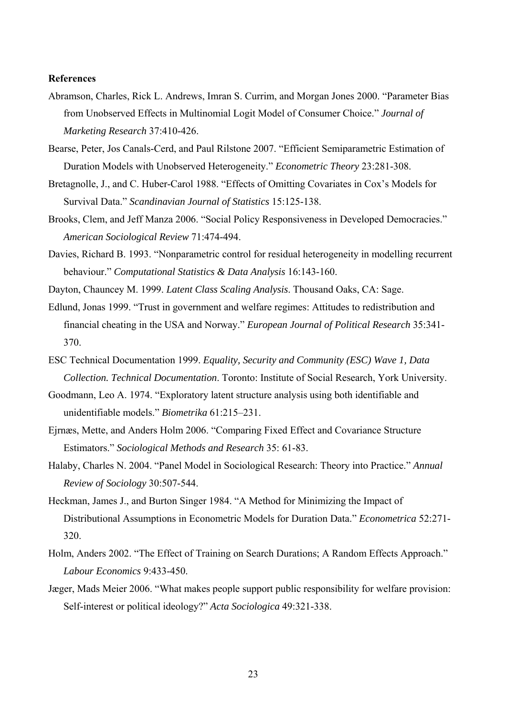#### **References**

- Abramson, Charles, Rick L. Andrews, Imran S. Currim, and Morgan Jones 2000. "Parameter Bias from Unobserved Effects in Multinomial Logit Model of Consumer Choice." *Journal of Marketing Research* 37:410-426.
- Bearse, Peter, Jos Canals-Cerd, and Paul Rilstone 2007. "Efficient Semiparametric Estimation of Duration Models with Unobserved Heterogeneity." *Econometric Theory* 23:281-308.
- Bretagnolle, J., and C. Huber-Carol 1988. "Effects of Omitting Covariates in Cox's Models for Survival Data." *Scandinavian Journal of Statistics* 15:125-138.
- Brooks, Clem, and Jeff Manza 2006. "Social Policy Responsiveness in Developed Democracies." *American Sociological Review* 71:474-494.
- Davies, Richard B. 1993. "Nonparametric control for residual heterogeneity in modelling recurrent behaviour." *Computational Statistics & Data Analysis* 16:143-160.
- Dayton, Chauncey M. 1999. *Latent Class Scaling Analysis*. Thousand Oaks, CA: Sage.
- Edlund, Jonas 1999. "Trust in government and welfare regimes: Attitudes to redistribution and financial cheating in the USA and Norway." *European Journal of Political Research* 35:341- 370.
- ESC Technical Documentation 1999. *Equality, Security and Community (ESC) Wave 1, Data Collection. Technical Documentation*. Toronto: Institute of Social Research, York University.
- Goodmann, Leo A. 1974. "Exploratory latent structure analysis using both identifiable and unidentifiable models." *Biometrika* 61:215–231.
- Ejrnæs, Mette, and Anders Holm 2006. "Comparing Fixed Effect and Covariance Structure Estimators." *Sociological Methods and Research* 35: 61-83.
- Halaby, Charles N. 2004. "Panel Model in Sociological Research: Theory into Practice." *Annual Review of Sociology* 30:507-544.
- Heckman, James J., and Burton Singer 1984. "A Method for Minimizing the Impact of Distributional Assumptions in Econometric Models for Duration Data." *Econometrica* 52:271- 320.
- Holm, Anders 2002. "The Effect of Training on Search Durations; A Random Effects Approach." *Labour Economics* 9:433-450.
- Jæger, Mads Meier 2006. "What makes people support public responsibility for welfare provision: Self-interest or political ideology?" *Acta Sociologica* 49:321-338.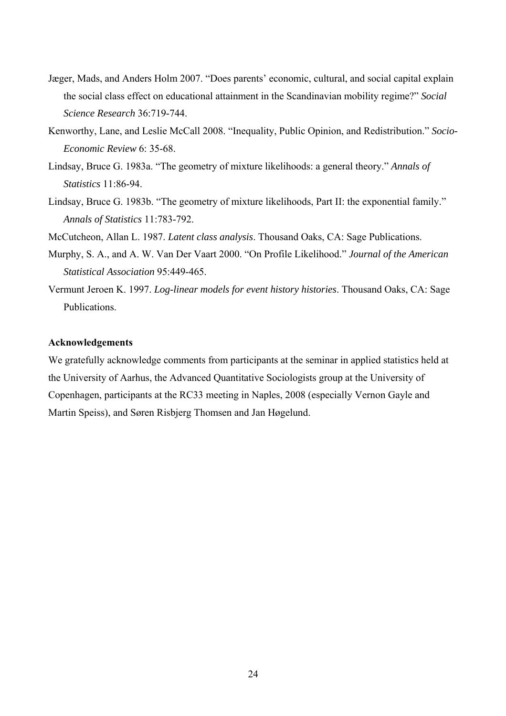- Jæger, Mads, and Anders Holm 2007. "Does parents' economic, cultural, and social capital explain the social class effect on educational attainment in the Scandinavian mobility regime?" *Social Science Research* 36:719-744.
- Kenworthy, Lane, and Leslie McCall 2008. "Inequality, Public Opinion, and Redistribution." *Socio-Economic Review* 6: 35-68.
- Lindsay, Bruce G. 1983a. "The geometry of mixture likelihoods: a general theory." *Annals of Statistics* 11:86-94.
- Lindsay, Bruce G. 1983b. "The geometry of mixture likelihoods, Part II: the exponential family." *Annals of Statistics* 11:783-792.

[McCutcheon,](http://en.wikipedia.org/w/index.php?title=A._L._McCutcheon&action=edit&redlink=1) Allan L. [1987.](http://en.wikipedia.org/wiki/1987) *Latent class analysis*. Thousand Oaks, CA: [Sage Publications](http://en.wikipedia.org/wiki/Sage_Publications).

- Murphy, S. A., and A. W. Van Der Vaart 2000. "On Profile Likelihood." *Journal of the American Statistical Association* 95:449-465.
- Vermunt Jeroen K. 1997. *Log-linear models for event history histories*. Thousand Oaks, CA: Sage Publications.

#### **Acknowledgements**

We gratefully acknowledge comments from participants at the seminar in applied statistics held at the University of Aarhus, the Advanced Quantitative Sociologists group at the University of Copenhagen, participants at the RC33 meeting in Naples, 2008 (especially Vernon Gayle and Martin Speiss), and Søren Risbjerg Thomsen and Jan Høgelund.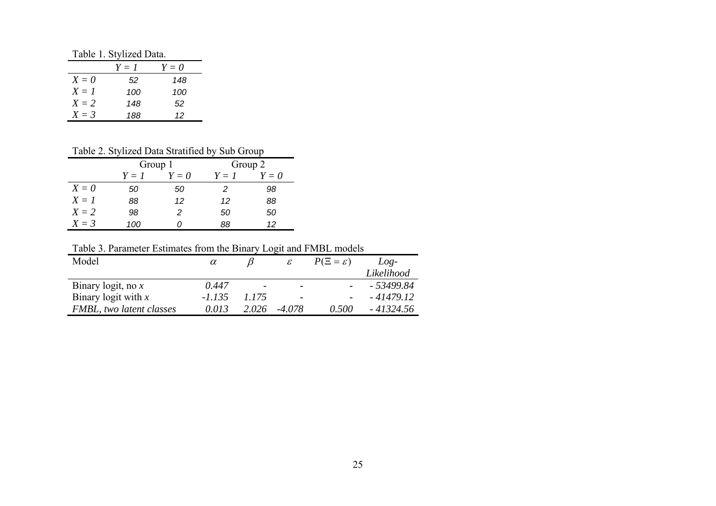Table 1. Stylized Data.

|         | $Y=I$ | $Y=0$ |
|---------|-------|-------|
| $X=0$   | 52    | 148   |
| $X = I$ | 100   | 100   |
| $X = 2$ | 148   | 52    |
| $X = 3$ | 188   | 12    |

# Table 2. Stylized Data Stratified by Sub Group

|         | Group 1 |       | Group 2 |    |  |
|---------|---------|-------|---------|----|--|
|         | $Y=I$   | $Y=0$ | $Y=0$   |    |  |
| $X=0$   | 50      | 50    | 2       | 98 |  |
| $X = I$ | 88      | 12    | 12      | 88 |  |
| $X = 2$ | 98      | 2     | 50      | 50 |  |
| $X = 3$ | 100     |       | 88      | 12 |  |

Table 3. Parameter Estimates from the Binary Logit and FMBL models

| $\alpha$ |       | $\mathcal{E}$            | $P(\Xi = \varepsilon)$ | $Loe-$                                                                 |
|----------|-------|--------------------------|------------------------|------------------------------------------------------------------------|
|          |       |                          |                        | Likelihood                                                             |
| 0.447    |       | $\overline{\phantom{0}}$ |                        | - 53499.84                                                             |
| -1.135   | 1.175 | $\overline{\phantom{0}}$ |                        | $-41479.12$                                                            |
| 0.013    | 2.026 | -4.078                   | 0.500                  | - 41324.56                                                             |
|          |       |                          |                        | Tuble 5. I diditional estimates from the Dinary Even and I will models |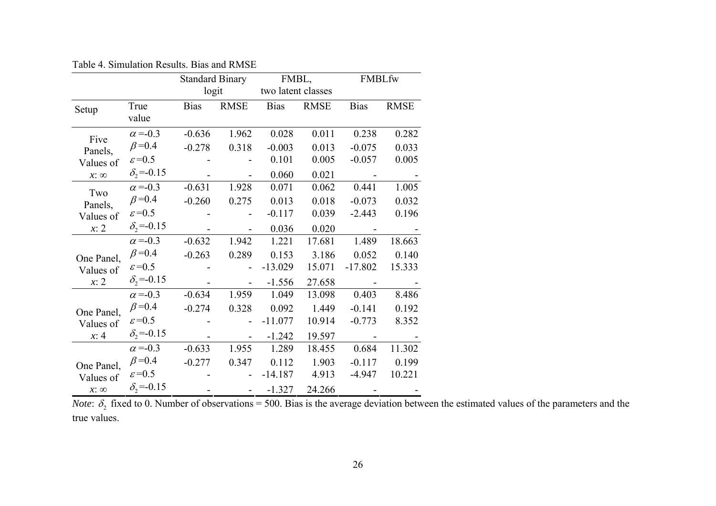|             |                              | <b>Standard Binary</b> |               | FMBL,              |             | FMBLfw      |             |
|-------------|------------------------------|------------------------|---------------|--------------------|-------------|-------------|-------------|
|             |                              | logit                  |               | two latent classes |             |             |             |
| Setup       | True                         | <b>Bias</b>            | <b>RMSE</b>   | <b>Bias</b>        | <b>RMSE</b> | <b>Bias</b> | <b>RMSE</b> |
|             | value                        |                        |               |                    |             |             |             |
| Five        | $\alpha = -0.3$              | $-0.636$               | 1.962         | 0.028              | 0.011       | 0.238       | 0.282       |
| Panels,     | $\beta = 0.4$                | $-0.278$               | 0.318         | $-0.003$           | 0.013       | $-0.075$    | 0.033       |
| Values of   | $\varepsilon = 0.5$          |                        |               | 0.101              | 0.005       | $-0.057$    | 0.005       |
| $x: \infty$ | $\delta_2 = -0.15$           |                        |               | 0.060              | 0.021       |             |             |
| Two         | $\alpha = 0.3$               | $-0.631$               | 1.928         | 0.071              | 0.062       | 0.441       | 1.005       |
| Panels,     | $\beta = 0.4$                | $-0.260$               | 0.275         | 0.013              | 0.018       | $-0.073$    | 0.032       |
| Values of   | $\varepsilon = 0.5$          |                        |               | $-0.117$           | 0.039       | $-2.443$    | 0.196       |
| x: 2        | $\delta$ <sub>2</sub> =-0.15 |                        |               | 0.036              | 0.020       |             |             |
|             | $\alpha = -0.3$              | $-0.632$               | 1.942         | 1.221              | 17.681      | 1.489       | 18.663      |
| One Panel,  | $\beta = 0.4$                | $-0.263$               | 0.289         | 0.153              | 3.186       | 0.052       | 0.140       |
| Values of   | $\varepsilon = 0.5$          |                        |               | $-13.029$          | 15.071      | $-17.802$   | 15.333      |
| x: 2        | $\delta_2 = -0.15$           |                        |               | $-1.556$           | 27.658      |             |             |
|             | $\alpha = 0.3$               | $-0.634$               | 1.959         | 1.049              | 13.098      | 0.403       | 8.486       |
| One Panel,  | $\beta = 0.4$                | $-0.274$               | 0.328         | 0.092              | 1.449       | $-0.141$    | 0.192       |
| Values of   | $\varepsilon = 0.5$          |                        |               | $-11.077$          | 10.914      | $-0.773$    | 8.352       |
| x: 4        | $\delta_2 = -0.15$           |                        |               | $-1.242$           | 19.597      |             |             |
|             | $\alpha = 0.3$               | $-0.633$               | 1.955         | 1.289              | 18.455      | 0.684       | 11.302      |
| One Panel,  | $\beta = 0.4$                | $-0.277$               | 0.347         | 0.112              | 1.903       | $-0.117$    | 0.199       |
| Values of   | $\varepsilon = 0.5$          |                        |               | $-14.187$          | 4.913       | $-4.947$    | 10.221      |
| $x: \infty$ | $\delta_2 = -0.15$           |                        | $\frac{1}{2}$ | $-1.327$           | 24.266      |             |             |

Table 4. Simulation Results. Bias and RMSE

*Note*:  $\delta_2$  fixed to 0. Number of observations = 500. Bias is the average deviation between the estimated values of the parameters and the true values.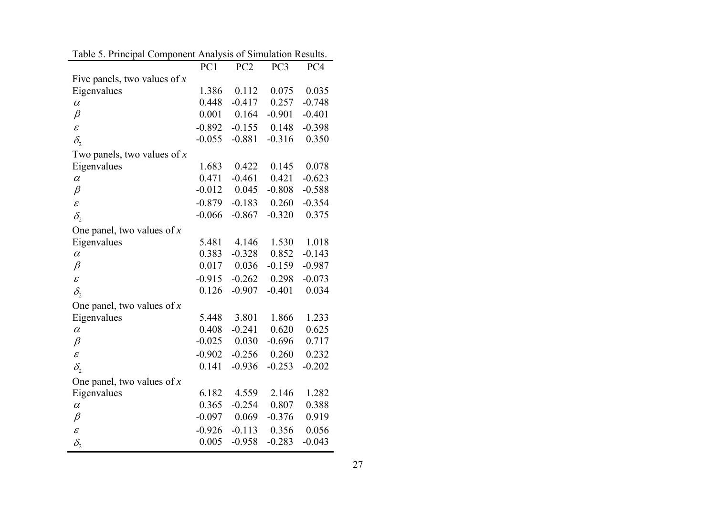|                                | PC1      | PC <sub>2</sub> | PC <sub>3</sub> | PC4      |
|--------------------------------|----------|-----------------|-----------------|----------|
| Five panels, two values of $x$ |          |                 |                 |          |
| Eigenvalues                    | 1.386    | 0.112           | 0.075           | 0.035    |
| $\alpha$                       | 0.448    | $-0.417$        | 0.257           | $-0.748$ |
| $\beta$                        | 0.001    | 0.164           | $-0.901$        | $-0.401$ |
| $\mathcal E$                   | $-0.892$ | $-0.155$        | 0.148           | $-0.398$ |
| $\delta_{2}$                   | $-0.055$ | $-0.881$        | $-0.316$        | 0.350    |
| Two panels, two values of $x$  |          |                 |                 |          |
| Eigenvalues                    | 1.683    | 0.422           | 0.145           | 0.078    |
| $\alpha$                       | 0.471    | $-0.461$        | 0.421           | $-0.623$ |
| $\beta$                        | $-0.012$ | 0.045           | $-0.808$        | $-0.588$ |
| $\mathcal{E}_{\mathcal{E}}$    | $-0.879$ | $-0.183$        | 0.260           | $-0.354$ |
| $\delta_{2}$                   | $-0.066$ | $-0.867$        | $-0.320$        | 0.375    |
| One panel, two values of x     |          |                 |                 |          |
| Eigenvalues                    | 5.481    | 4.146           | 1.530           | 1.018    |
| $\alpha$                       | 0.383    | $-0.328$        | 0.852           | $-0.143$ |
| $\beta$                        | 0.017    | 0.036           | $-0.159$        | $-0.987$ |
| $\mathcal{E}_{0}^{2}$          | $-0.915$ | $-0.262$        | 0.298           | $-0.073$ |
| $\delta_{2}$                   | 0.126    | $-0.907$        | $-0.401$        | 0.034    |
| One panel, two values of $x$   |          |                 |                 |          |
| Eigenvalues                    | 5.448    | 3.801           | 1.866           | 1.233    |
| $\alpha$                       | 0.408    | $-0.241$        | 0.620           | 0.625    |
| $\beta$                        | $-0.025$ | 0.030           | $-0.696$        | 0.717    |
| $\mathcal E$                   | $-0.902$ | $-0.256$        | 0.260           | 0.232    |
| $\delta_{1}$                   | 0.141    | $-0.936$        | $-0.253$        | $-0.202$ |
| One panel, two values of $x$   |          |                 |                 |          |
| Eigenvalues                    | 6.182    | 4.559           | 2.146           | 1.282    |
| $\alpha$                       | 0.365    | $-0.254$        | 0.807           | 0.388    |
| $\beta$                        | $-0.097$ | 0.069           | $-0.376$        | 0.919    |
| $\mathcal{E}_{\mathcal{C}}$    | $-0.926$ | $-0.113$        | 0.356           | 0.056    |
| $\delta_{\rm i}$               | 0.005    | $-0.958$        | $-0.283$        | $-0.043$ |

|  | Table 5. Principal Component Analysis of Simulation Results. |  |
|--|--------------------------------------------------------------|--|
|  |                                                              |  |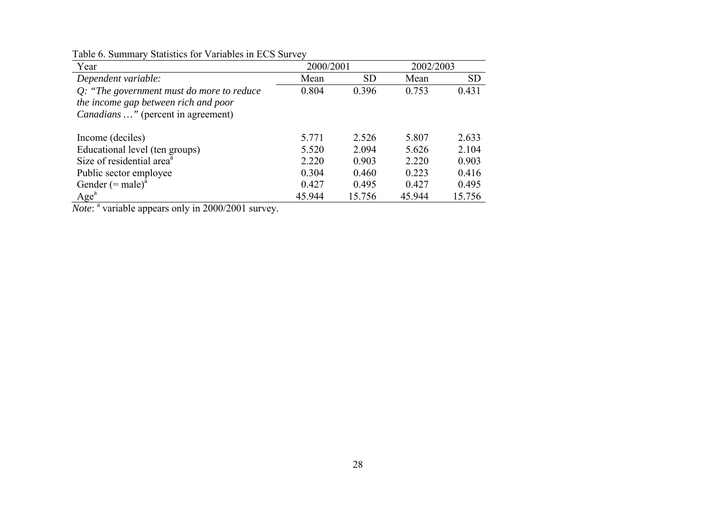| Year                                          | 2000/2001 |           | 2002/2003 |           |
|-----------------------------------------------|-----------|-----------|-----------|-----------|
| Dependent variable:                           | Mean      | <b>SD</b> | Mean      | <b>SD</b> |
| $Q$ : "The government must do more to reduce" | 0.804     | 0.396     | 0.753     | 0.431     |
| the income gap between rich and poor          |           |           |           |           |
| <i>Canadians</i> " (percent in agreement)     |           |           |           |           |
|                                               |           |           |           |           |
| Income (deciles)                              | 5.771     | 2.526     | 5.807     | 2.633     |
| Educational level (ten groups)                | 5.520     | 2.094     | 5.626     | 2.104     |
| Size of residential area <sup>a</sup>         | 2.220     | 0.903     | 2.220     | 0.903     |
| Public sector employee                        | 0.304     | 0.460     | 0.223     | 0.416     |
| Gender $(= male)^a$                           | 0.427     | 0.495     | 0.427     | 0.495     |
| Age <sup>a</sup>                              | 45.944    | 15.756    | 45.944    | 15.756    |

Table 6. Summary Statistics for Variables in ECS Survey

*Note*: <sup>a</sup> variable appears only in 2000/2001 survey.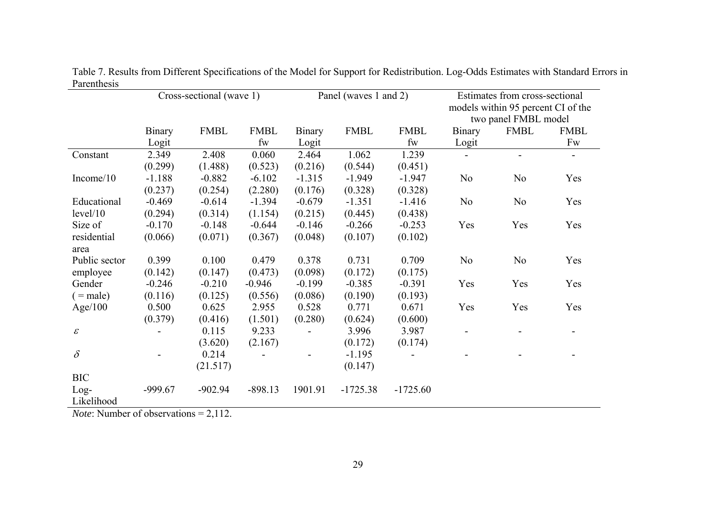|                            | Cross-sectional (wave 1) |             |             |          | Panel (waves 1 and 2) | Estimates from cross-sectional |                                                            |                |             |
|----------------------------|--------------------------|-------------|-------------|----------|-----------------------|--------------------------------|------------------------------------------------------------|----------------|-------------|
|                            |                          |             |             |          |                       |                                | models within 95 percent CI of the<br>two panel FMBL model |                |             |
|                            | <b>Binary</b>            | <b>FMBL</b> | <b>FMBL</b> | Binary   | <b>FMBL</b>           | <b>FMBL</b>                    | Binary                                                     | <b>FMBL</b>    | <b>FMBL</b> |
|                            | Logit                    |             | fw          | Logit    |                       | fw                             | Logit                                                      |                | Fw          |
| Constant                   | 2.349                    | 2.408       | 0.060       | 2.464    | 1.062                 | 1.239                          |                                                            |                |             |
|                            | (0.299)                  | (1.488)     | (0.523)     | (0.216)  | (0.544)               | (0.451)                        |                                                            |                |             |
| Income/10                  | $-1.188$                 | $-0.882$    | $-6.102$    | $-1.315$ | $-1.949$              | $-1.947$                       | N <sub>0</sub>                                             | N <sub>0</sub> | Yes         |
|                            | (0.237)                  | (0.254)     | (2.280)     | (0.176)  | (0.328)               | (0.328)                        |                                                            |                |             |
| Educational                | $-0.469$                 | $-0.614$    | $-1.394$    | $-0.679$ | $-1.351$              | $-1.416$                       | N <sub>o</sub>                                             | N <sub>0</sub> | Yes         |
| level/10                   | (0.294)                  | (0.314)     | (1.154)     | (0.215)  | (0.445)               | (0.438)                        |                                                            |                |             |
| Size of                    | $-0.170$                 | $-0.148$    | $-0.644$    | $-0.146$ | $-0.266$              | $-0.253$                       | Yes                                                        | Yes            | Yes         |
| residential                | (0.066)                  | (0.071)     | (0.367)     | (0.048)  | (0.107)               | (0.102)                        |                                                            |                |             |
| area                       |                          |             |             |          |                       |                                |                                                            |                |             |
| Public sector              | 0.399                    | 0.100       | 0.479       | 0.378    | 0.731                 | 0.709                          | N <sub>0</sub>                                             | N <sub>o</sub> | Yes         |
| employee                   | (0.142)                  | (0.147)     | (0.473)     | (0.098)  | (0.172)               | (0.175)                        |                                                            |                |             |
| Gender                     | $-0.246$                 | $-0.210$    | $-0.946$    | $-0.199$ | $-0.385$              | $-0.391$                       | Yes                                                        | Yes            | Yes         |
| $=$ male)                  | (0.116)                  | (0.125)     | (0.556)     | (0.086)  | (0.190)               | (0.193)                        |                                                            |                |             |
| Age/100                    | 0.500                    | 0.625       | 2.955       | 0.528    | 0.771                 | 0.671                          | Yes                                                        | Yes            | Yes         |
|                            | (0.379)                  | (0.416)     | (1.501)     | (0.280)  | (0.624)               | (0.600)                        |                                                            |                |             |
| $\boldsymbol{\mathcal{E}}$ |                          | 0.115       | 9.233       |          | 3.996                 | 3.987                          |                                                            |                |             |
|                            |                          | (3.620)     | (2.167)     |          | (0.172)               | (0.174)                        |                                                            |                |             |
| $\delta$                   |                          | 0.214       |             |          | $-1.195$              |                                |                                                            |                |             |
|                            |                          | (21.517)    |             |          | (0.147)               |                                |                                                            |                |             |
| <b>BIC</b>                 |                          |             |             |          |                       |                                |                                                            |                |             |
| $Log-$                     | $-999.67$                | $-902.94$   | $-898.13$   | 1901.91  | $-1725.38$            | $-1725.60$                     |                                                            |                |             |
| Likelihood                 |                          |             |             |          |                       |                                |                                                            |                |             |

Table 7. Results from Different Specifications of the Model for Support for Redistribution. Log-Odds Estimates with Standard Errors in Parenthesis

*Note*: Number of observations = 2,112.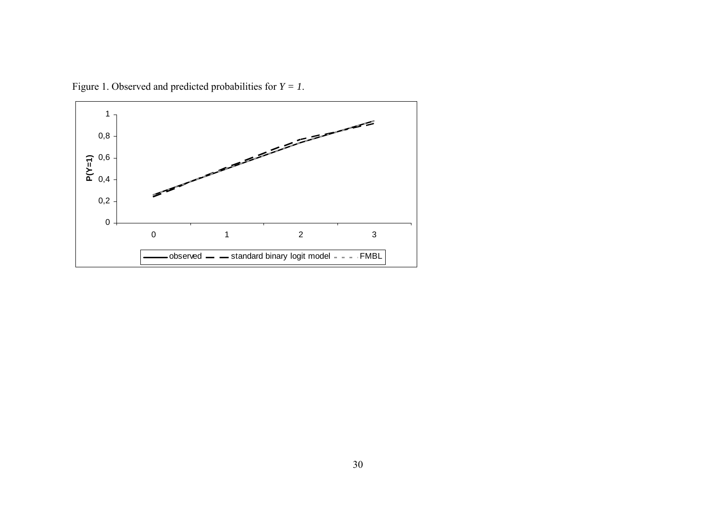

Figure 1. Observed and predicted probabilities for *Y = 1*.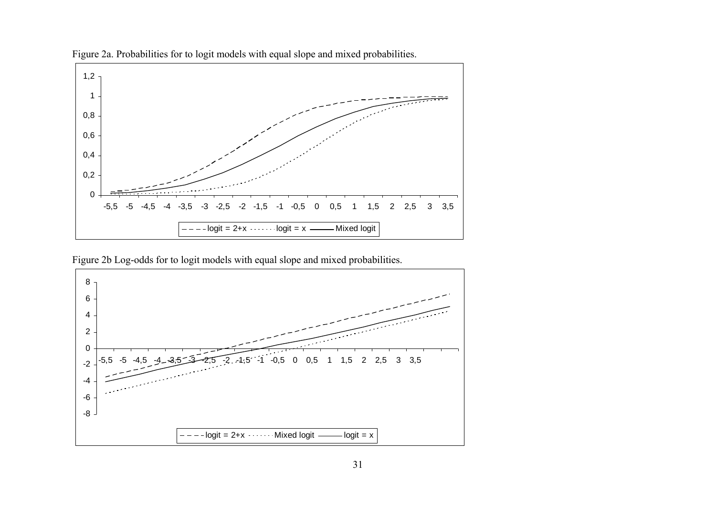

Figure 2a. Probabilities for to logit models with equal slope and mixed probabilities.

Figure 2b Log-odds for to logit models with equal slope and mixed probabilities.

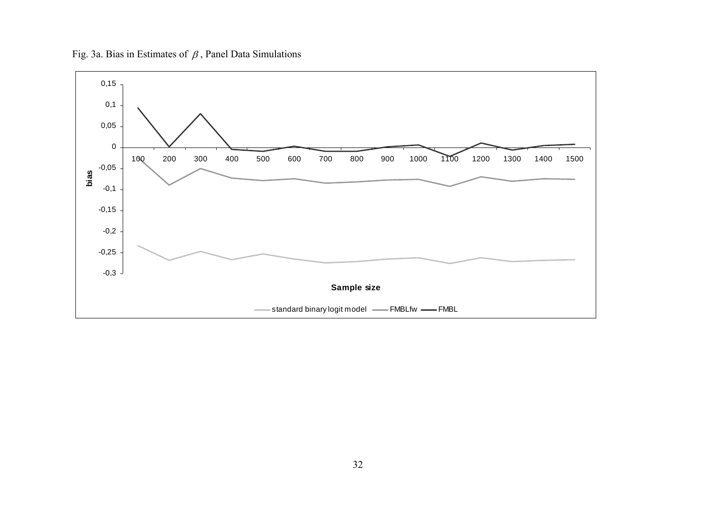Fig. 3a. Bias in Estimates of  $\beta$ , Panel Data Simulations

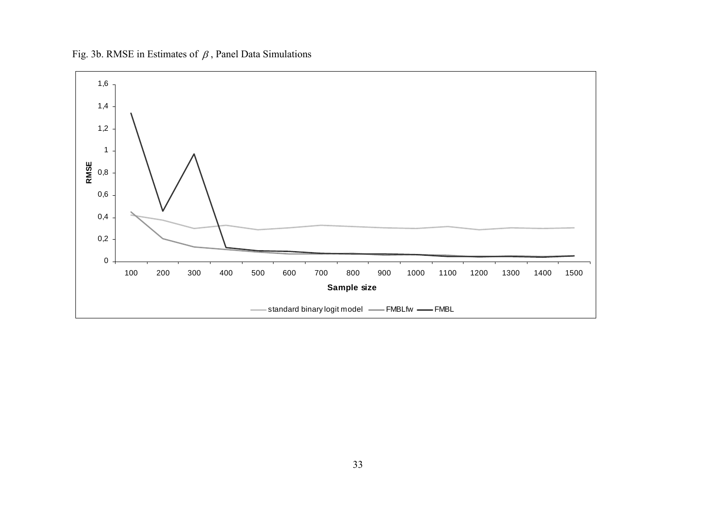Fig. 3b. RMSE in Estimates of  $\beta$ , Panel Data Simulations

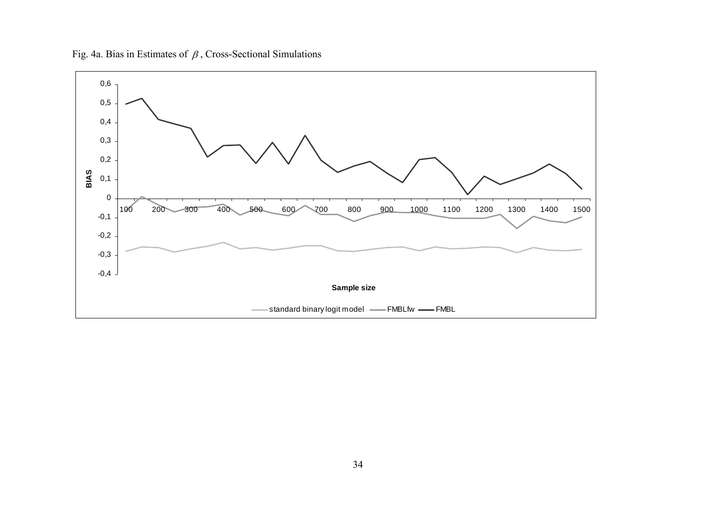Fig. 4a. Bias in Estimates of  $\beta$ , Cross-Sectional Simulations

![](_page_35_Figure_1.jpeg)